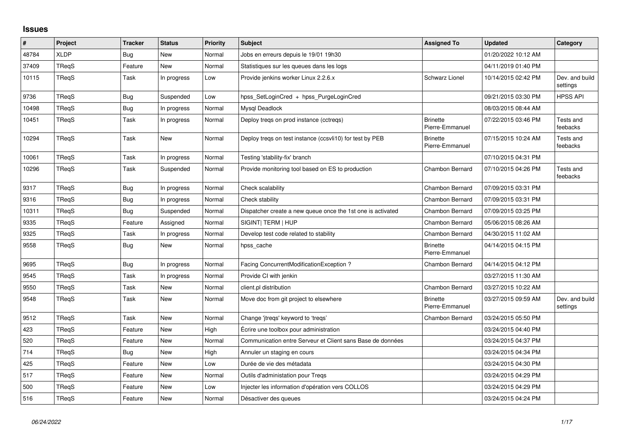## **Issues**

| $\#$  | Project      | <b>Tracker</b> | <b>Status</b> | <b>Priority</b> | <b>Subject</b>                                              | <b>Assigned To</b>                 | <b>Updated</b>      | Category                   |
|-------|--------------|----------------|---------------|-----------------|-------------------------------------------------------------|------------------------------------|---------------------|----------------------------|
| 48784 | <b>XLDP</b>  | <b>Bug</b>     | <b>New</b>    | Normal          | Jobs en erreurs depuis le 19/01 19h30                       |                                    | 01/20/2022 10:12 AM |                            |
| 37409 | TReqS        | Feature        | <b>New</b>    | Normal          | Statistiques sur les queues dans les logs                   |                                    | 04/11/2019 01:40 PM |                            |
| 10115 | TReqS        | Task           | In progress   | Low             | Provide jenkins worker Linux 2.2.6.x                        | <b>Schwarz Lionel</b>              | 10/14/2015 02:42 PM | Dev. and build<br>settings |
| 9736  | TReqS        | <b>Bug</b>     | Suspended     | Low             | hpss SetLoginCred + hpss PurgeLoginCred                     |                                    | 09/21/2015 03:30 PM | <b>HPSS API</b>            |
| 10498 | TRegS        | <b>Bug</b>     | In progress   | Normal          | Mysql Deadlock                                              |                                    | 08/03/2015 08:44 AM |                            |
| 10451 | TRegS        | Task           | In progress   | Normal          | Deploy treqs on prod instance (cctreqs)                     | <b>Brinette</b><br>Pierre-Emmanuel | 07/22/2015 03:46 PM | Tests and<br>feebacks      |
| 10294 | <b>TRegS</b> | Task           | New           | Normal          | Deploy tregs on test instance (ccsvli10) for test by PEB    | <b>Brinette</b><br>Pierre-Emmanuel | 07/15/2015 10:24 AM | Tests and<br>feebacks      |
| 10061 | <b>TRegS</b> | Task           | In progress   | Normal          | Testing 'stability-fix' branch                              |                                    | 07/10/2015 04:31 PM |                            |
| 10296 | TRegS        | Task           | Suspended     | Normal          | Provide monitoring tool based on ES to production           | Chambon Bernard                    | 07/10/2015 04:26 PM | Tests and<br>feebacks      |
| 9317  | TReqS        | <b>Bug</b>     | In progress   | Normal          | Check scalability                                           | Chambon Bernard                    | 07/09/2015 03:31 PM |                            |
| 9316  | TRegS        | <b>Bug</b>     | In progress   | Normal          | Check stability                                             | Chambon Bernard                    | 07/09/2015 03:31 PM |                            |
| 10311 | <b>TRegS</b> | <b>Bug</b>     | Suspended     | Normal          | Dispatcher create a new queue once the 1st one is activated | <b>Chambon Bernard</b>             | 07/09/2015 03:25 PM |                            |
| 9335  | TReqS        | Feature        | Assigned      | Normal          | SIGINT  TERM   HUP                                          | Chambon Bernard                    | 05/06/2015 08:26 AM |                            |
| 9325  | TRegS        | Task           | In progress   | Normal          | Develop test code related to stability                      | Chambon Bernard                    | 04/30/2015 11:02 AM |                            |
| 9558  | TReqS        | <b>Bug</b>     | New           | Normal          | hpss cache                                                  | <b>Brinette</b><br>Pierre-Emmanuel | 04/14/2015 04:15 PM |                            |
| 9695  | TRegS        | <b>Bug</b>     | In progress   | Normal          | Facing ConcurrentModificationException?                     | Chambon Bernard                    | 04/14/2015 04:12 PM |                            |
| 9545  | TRegS        | Task           | In progress   | Normal          | Provide CI with jenkin                                      |                                    | 03/27/2015 11:30 AM |                            |
| 9550  | TRegS        | Task           | New           | Normal          | client.pl distribution                                      | Chambon Bernard                    | 03/27/2015 10:22 AM |                            |
| 9548  | TRegS        | Task           | <b>New</b>    | Normal          | Move doc from git project to elsewhere                      | <b>Brinette</b><br>Pierre-Emmanuel | 03/27/2015 09:59 AM | Dev. and build<br>settings |
| 9512  | TReaS        | Task           | <b>New</b>    | Normal          | Change 'jtreqs' keyword to 'treqs'                          | Chambon Bernard                    | 03/24/2015 05:50 PM |                            |
| 423   | TReaS        | Feature        | <b>New</b>    | High            | Écrire une toolbox pour administration                      |                                    | 03/24/2015 04:40 PM |                            |
| 520   | TRegS        | Feature        | <b>New</b>    | Normal          | Communication entre Serveur et Client sans Base de données  |                                    | 03/24/2015 04:37 PM |                            |
| 714   | TRegS        | <b>Bug</b>     | <b>New</b>    | High            | Annuler un staging en cours                                 |                                    | 03/24/2015 04:34 PM |                            |
| 425   | TReqS        | Feature        | <b>New</b>    | Low             | Durée de vie des métadata                                   |                                    | 03/24/2015 04:30 PM |                            |
| 517   | TRegS        | Feature        | <b>New</b>    | Normal          | Outils d'administation pour Tregs                           |                                    | 03/24/2015 04:29 PM |                            |
| 500   | TRegS        | Feature        | <b>New</b>    | Low             | Injecter les information d'opération vers COLLOS            |                                    | 03/24/2015 04:29 PM |                            |
| 516   | TRegS        | Feature        | New           | Normal          | Désactiver des queues                                       |                                    | 03/24/2015 04:24 PM |                            |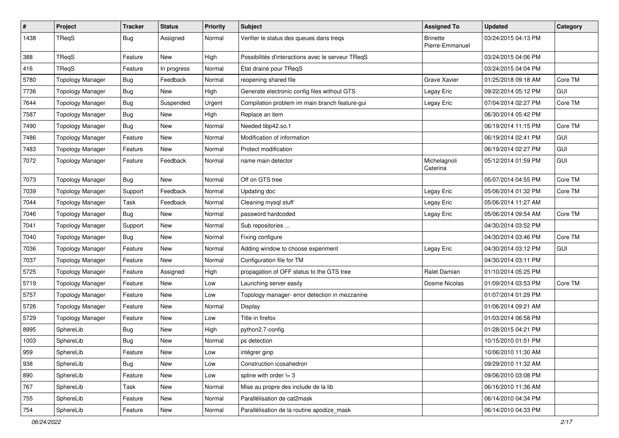| $\pmb{\#}$ | Project                 | <b>Tracker</b> | <b>Status</b> | <b>Priority</b> | <b>Subject</b>                                    | <b>Assigned To</b>                 | <b>Updated</b>      | Category   |
|------------|-------------------------|----------------|---------------|-----------------|---------------------------------------------------|------------------------------------|---------------------|------------|
| 1438       | TReqS                   | <b>Bug</b>     | Assigned      | Normal          | Verifier le status des queues dans treqs          | <b>Brinette</b><br>Pierre-Emmanuel | 03/24/2015 04:13 PM |            |
| 388        | TReqS                   | Feature        | New           | High            | Possibilités d'interactions avec le serveur TReqS |                                    | 03/24/2015 04:06 PM |            |
| 416        | TReqS                   | Feature        | In progress   | Normal          | État drainé pour TReqS                            |                                    | 03/24/2015 04:04 PM |            |
| 5780       | <b>Topology Manager</b> | <b>Bug</b>     | Feedback      | Normal          | reopening shared file                             | Grave Xavier                       | 01/25/2018 09:18 AM | Core TM    |
| 7736       | <b>Topology Manager</b> | <b>Bug</b>     | New           | High            | Generate electronic config files without GTS      | Legay Eric                         | 09/22/2014 05:12 PM | GUI        |
| 7644       | <b>Topology Manager</b> | <b>Bug</b>     | Suspended     | Urgent          | Compilation problem im main branch feature-gui    | Legay Eric                         | 07/04/2014 02:27 PM | Core TM    |
| 7587       | <b>Topology Manager</b> | <b>Bug</b>     | <b>New</b>    | High            | Replace an item                                   |                                    | 06/30/2014 05:42 PM |            |
| 7490       | <b>Topology Manager</b> | Bug            | New           | Normal          | Needed libp42.so.1                                |                                    | 06/19/2014 11:15 PM | Core TM    |
| 7486       | <b>Topology Manager</b> | Feature        | <b>New</b>    | Normal          | Modification of information                       |                                    | 06/19/2014 02:41 PM | <b>GUI</b> |
| 7483       | <b>Topology Manager</b> | Feature        | <b>New</b>    | Normal          | Protect modification                              |                                    | 06/19/2014 02:27 PM | <b>GUI</b> |
| 7072       | <b>Topology Manager</b> | Feature        | Feedback      | Normal          | name main detector                                | Michelagnoli<br>Caterina           | 05/12/2014 01:59 PM | GUI        |
| 7073       | <b>Topology Manager</b> | <b>Bug</b>     | New           | Normal          | Off on GTS tree                                   |                                    | 05/07/2014 04:55 PM | Core TM    |
| 7039       | <b>Topology Manager</b> | Support        | Feedback      | Normal          | Updating doc                                      | Legay Eric                         | 05/06/2014 01:32 PM | Core TM    |
| 7044       | <b>Topology Manager</b> | Task           | Feedback      | Normal          | Cleaning mysql stuff                              | Legay Eric                         | 05/06/2014 11:27 AM |            |
| 7046       | <b>Topology Manager</b> | <b>Bug</b>     | New           | Normal          | password hardcoded                                | Legay Eric                         | 05/06/2014 09:54 AM | Core TM    |
| 7041       | <b>Topology Manager</b> | Support        | <b>New</b>    | Normal          | Sub repositories                                  |                                    | 04/30/2014 03:52 PM |            |
| 7040       | <b>Topology Manager</b> | <b>Bug</b>     | New           | Normal          | Fixing configure                                  |                                    | 04/30/2014 03:46 PM | Core TM    |
| 7036       | <b>Topology Manager</b> | Feature        | <b>New</b>    | Normal          | Adding window to choose experiment                | Legay Eric                         | 04/30/2014 03:12 PM | GUI        |
| 7037       | <b>Topology Manager</b> | Feature        | New           | Normal          | Configuration file for TM                         |                                    | 04/30/2014 03:11 PM |            |
| 5725       | <b>Topology Manager</b> | Feature        | Assigned      | High            | propagation of OFF status to the GTS tree         | Ralet Damian                       | 01/10/2014 05:25 PM |            |
| 5719       | <b>Topology Manager</b> | Feature        | <b>New</b>    | Low             | Launching server easily                           | Dosme Nicolas                      | 01/09/2014 03:53 PM | Core TM    |
| 5757       | <b>Topology Manager</b> | Feature        | New           | Low             | Topology manager- error detection in mezzanine    |                                    | 01/07/2014 01:29 PM |            |
| 5726       | <b>Topology Manager</b> | Feature        | New           | Normal          | Display                                           |                                    | 01/06/2014 09:21 AM |            |
| 5729       | <b>Topology Manager</b> | Feature        | New           | Low             | Title in firefox                                  |                                    | 01/03/2014 06:58 PM |            |
| 8995       | SphereLib               | <b>Bug</b>     | New           | High            | python2.7-config                                  |                                    | 01/28/2015 04:21 PM |            |
| 1003       | SphereLib               | <b>Bug</b>     | New           | Normal          | ps detection                                      |                                    | 10/15/2010 01:51 PM |            |
| 959        | SphereLib               | Feature        | New           | Low             | intégrer ginp                                     |                                    | 10/06/2010 11:30 AM |            |
| 938        | SphereLib               | Bug            | New           | Low             | Construction icosahedron                          |                                    | 09/29/2010 11:32 AM |            |
| 890        | SphereLib               | Feature        | New           | Low             | spline with order $!= 3$                          |                                    | 09/06/2010 03:08 PM |            |
| 767        | SphereLib               | Task           | New           | Normal          | Mise au propre des include de la lib              |                                    | 06/16/2010 11:36 AM |            |
| 755        | SphereLib               | Feature        | <b>New</b>    | Normal          | Parallélisation de cat2mask                       |                                    | 06/14/2010 04:34 PM |            |
| 754        | SphereLib               | Feature        | New           | Normal          | Parallélisation de la routine apodize_mask        |                                    | 06/14/2010 04:33 PM |            |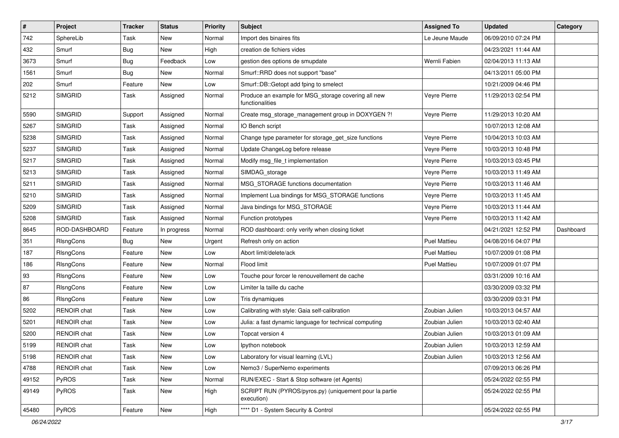| $\sharp$ | Project            | <b>Tracker</b> | <b>Status</b> | <b>Priority</b> | Subject                                                                | <b>Assigned To</b>  | <b>Updated</b>      | Category  |
|----------|--------------------|----------------|---------------|-----------------|------------------------------------------------------------------------|---------------------|---------------------|-----------|
| 742      | SphereLib          | Task           | New           | Normal          | Import des binaires fits                                               | Le Jeune Maude      | 06/09/2010 07:24 PM |           |
| 432      | Smurf              | <b>Bug</b>     | New           | High            | creation de fichiers vides                                             |                     | 04/23/2021 11:44 AM |           |
| 3673     | Smurf              | <b>Bug</b>     | Feedback      | Low             | gestion des options de smupdate                                        | Wernli Fabien       | 02/04/2013 11:13 AM |           |
| 1561     | Smurf              | <b>Bug</b>     | New           | Normal          | Smurf::RRD does not support "base"                                     |                     | 04/13/2011 05:00 PM |           |
| 202      | Smurf              | Feature        | New           | Low             | Smurf::DB::Getopt add fping to smelect                                 |                     | 10/21/2009 04:46 PM |           |
| 5212     | <b>SIMGRID</b>     | Task           | Assigned      | Normal          | Produce an example for MSG_storage covering all new<br>functionalities | Veyre Pierre        | 11/29/2013 02:54 PM |           |
| 5590     | <b>SIMGRID</b>     | Support        | Assigned      | Normal          | Create msg_storage_management group in DOXYGEN ?!                      | Veyre Pierre        | 11/29/2013 10:20 AM |           |
| 5267     | <b>SIMGRID</b>     | Task           | Assigned      | Normal          | IO Bench script                                                        |                     | 10/07/2013 12:08 AM |           |
| 5238     | <b>SIMGRID</b>     | Task           | Assigned      | Normal          | Change type parameter for storage_get_size functions                   | Veyre Pierre        | 10/04/2013 10:03 AM |           |
| 5237     | <b>SIMGRID</b>     | Task           | Assigned      | Normal          | Update ChangeLog before release                                        | Veyre Pierre        | 10/03/2013 10:48 PM |           |
| 5217     | <b>SIMGRID</b>     | Task           | Assigned      | Normal          | Modify msg_file_t implementation                                       | Veyre Pierre        | 10/03/2013 03:45 PM |           |
| 5213     | <b>SIMGRID</b>     | Task           | Assigned      | Normal          | SIMDAG_storage                                                         | Veyre Pierre        | 10/03/2013 11:49 AM |           |
| 5211     | <b>SIMGRID</b>     | Task           | Assigned      | Normal          | MSG STORAGE functions documentation                                    | Veyre Pierre        | 10/03/2013 11:46 AM |           |
| 5210     | <b>SIMGRID</b>     | Task           | Assigned      | Normal          | Implement Lua bindings for MSG STORAGE functions                       | Veyre Pierre        | 10/03/2013 11:45 AM |           |
| 5209     | <b>SIMGRID</b>     | Task           | Assigned      | Normal          | Java bindings for MSG_STORAGE                                          | Veyre Pierre        | 10/03/2013 11:44 AM |           |
| 5208     | <b>SIMGRID</b>     | Task           | Assigned      | Normal          | Function prototypes                                                    | Veyre Pierre        | 10/03/2013 11:42 AM |           |
| 8645     | ROD-DASHBOARD      | Feature        | In progress   | Normal          | ROD dashboard: only verify when closing ticket                         |                     | 04/21/2021 12:52 PM | Dashboard |
| 351      | RIsngCons          | <b>Bug</b>     | New           | Urgent          | Refresh only on action                                                 | <b>Puel Mattieu</b> | 04/08/2016 04:07 PM |           |
| 187      | RIsngCons          | Feature        | New           | Low             | Abort limit/delete/ack                                                 | <b>Puel Mattieu</b> | 10/07/2009 01:08 PM |           |
| 186      | RIsngCons          | Feature        | New           | Normal          | Flood limit                                                            | <b>Puel Mattieu</b> | 10/07/2009 01:07 PM |           |
| 93       | RIsngCons          | Feature        | New           | Low             | Touche pour forcer le renouvellement de cache                          |                     | 03/31/2009 10:16 AM |           |
| 87       | RIsngCons          | Feature        | New           | Low             | Limiter la taille du cache                                             |                     | 03/30/2009 03:32 PM |           |
| 86       | RIsngCons          | Feature        | New           | Low             | Tris dynamiques                                                        |                     | 03/30/2009 03:31 PM |           |
| 5202     | <b>RENOIR</b> chat | Task           | New           | Low             | Calibrating with style: Gaia self-calibration                          | Zoubian Julien      | 10/03/2013 04:57 AM |           |
| 5201     | <b>RENOIR</b> chat | Task           | New           | Low             | Julia: a fast dynamic language for technical computing                 | Zoubian Julien      | 10/03/2013 02:40 AM |           |
| 5200     | RENOIR chat        | Task           | New           | Low             | Topcat version 4                                                       | Zoubian Julien      | 10/03/2013 01:09 AM |           |
| 5199     | RENOIR chat        | Task           | New           | Low             | lpython notebook                                                       | Zoubian Julien      | 10/03/2013 12:59 AM |           |
| 5198     | RENOIR chat        | Task           | <b>New</b>    | Low             | Laboratory for visual learning (LVL)                                   | Zoubian Julien      | 10/03/2013 12:56 AM |           |
| 4788     | RENOIR chat        | Task           | New           | Low             | Nemo3 / SuperNemo experiments                                          |                     | 07/09/2013 06:26 PM |           |
| 49152    | PyROS              | Task           | New           | Normal          | RUN/EXEC - Start & Stop software (et Agents)                           |                     | 05/24/2022 02:55 PM |           |
| 49149    | PyROS              | Task           | New           | High            | SCRIPT RUN (PYROS/pyros.py) (uniquement pour la partie<br>execution)   |                     | 05/24/2022 02:55 PM |           |
| 45480    | PyROS              | Feature        | New           | High            | **** D1 - System Security & Control                                    |                     | 05/24/2022 02:55 PM |           |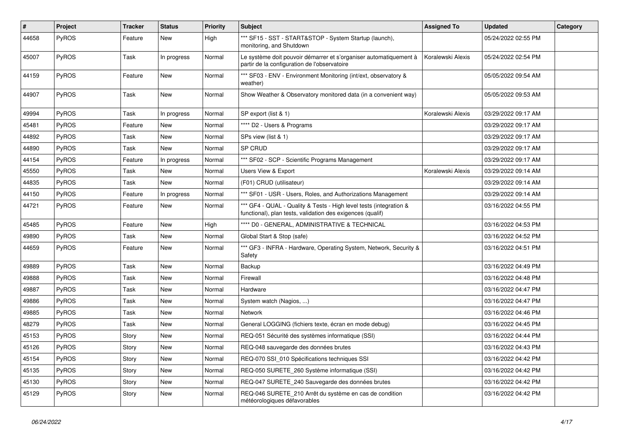| $\vert$ # | Project      | <b>Tracker</b> | <b>Status</b> | <b>Priority</b> | Subject                                                                                                                          | <b>Assigned To</b> | <b>Updated</b>      | Category |
|-----------|--------------|----------------|---------------|-----------------|----------------------------------------------------------------------------------------------------------------------------------|--------------------|---------------------|----------|
| 44658     | PyROS        | Feature        | New           | High            | *** SF15 - SST - START&STOP - System Startup (launch),<br>monitoring, and Shutdown                                               |                    | 05/24/2022 02:55 PM |          |
| 45007     | PyROS        | Task           | In progress   | Normal          | Le système doit pouvoir démarrer et s'organiser automatiquement à<br>partir de la configuration de l'observatoire                | Koralewski Alexis  | 05/24/2022 02:54 PM |          |
| 44159     | PyROS        | Feature        | New           | Normal          | *** SF03 - ENV - Environment Monitoring (int/ext, observatory &<br>weather)                                                      |                    | 05/05/2022 09:54 AM |          |
| 44907     | PyROS        | Task           | <b>New</b>    | Normal          | Show Weather & Observatory monitored data (in a convenient way)                                                                  |                    | 05/05/2022 09:53 AM |          |
| 49994     | PyROS        | Task           | In progress   | Normal          | SP export (list & 1)                                                                                                             | Koralewski Alexis  | 03/29/2022 09:17 AM |          |
| 45481     | PyROS        | Feature        | New           | Normal          | **** D2 - Users & Programs                                                                                                       |                    | 03/29/2022 09:17 AM |          |
| 44892     | PyROS        | Task           | New           | Normal          | SPs view (list & 1)                                                                                                              |                    | 03/29/2022 09:17 AM |          |
| 44890     | PyROS        | Task           | New           | Normal          | SP CRUD                                                                                                                          |                    | 03/29/2022 09:17 AM |          |
| 44154     | PyROS        | Feature        | In progress   | Normal          | *** SF02 - SCP - Scientific Programs Management                                                                                  |                    | 03/29/2022 09:17 AM |          |
| 45550     | PyROS        | Task           | New           | Normal          | Users View & Export                                                                                                              | Koralewski Alexis  | 03/29/2022 09:14 AM |          |
| 44835     | PyROS        | Task           | <b>New</b>    | Normal          | (F01) CRUD (utilisateur)                                                                                                         |                    | 03/29/2022 09:14 AM |          |
| 44150     | PyROS        | Feature        | In progress   | Normal          | *** SF01 - USR - Users, Roles, and Authorizations Management                                                                     |                    | 03/29/2022 09:14 AM |          |
| 44721     | PyROS        | Feature        | New           | Normal          | *** GF4 - QUAL - Quality & Tests - High level tests (integration &<br>functional), plan tests, validation des exigences (qualif) |                    | 03/16/2022 04:55 PM |          |
| 45485     | PyROS        | Feature        | <b>New</b>    | High            | **** D0 - GENERAL, ADMINISTRATIVE & TECHNICAL                                                                                    |                    | 03/16/2022 04:53 PM |          |
| 49890     | PyROS        | Task           | <b>New</b>    | Normal          | Global Start & Stop (safe)                                                                                                       |                    | 03/16/2022 04:52 PM |          |
| 44659     | PyROS        | Feature        | New           | Normal          | *** GF3 - INFRA - Hardware, Operating System, Network, Security &<br>Safety                                                      |                    | 03/16/2022 04:51 PM |          |
| 49889     | PyROS        | Task           | <b>New</b>    | Normal          | Backup                                                                                                                           |                    | 03/16/2022 04:49 PM |          |
| 49888     | PyROS        | Task           | New           | Normal          | Firewall                                                                                                                         |                    | 03/16/2022 04:48 PM |          |
| 49887     | PyROS        | Task           | New           | Normal          | Hardware                                                                                                                         |                    | 03/16/2022 04:47 PM |          |
| 49886     | PyROS        | Task           | New           | Normal          | System watch (Nagios, )                                                                                                          |                    | 03/16/2022 04:47 PM |          |
| 49885     | <b>PyROS</b> | Task           | New           | Normal          | Network                                                                                                                          |                    | 03/16/2022 04:46 PM |          |
| 48279     | PyROS        | Task           | <b>New</b>    | Normal          | General LOGGING (fichiers texte, écran en mode debug)                                                                            |                    | 03/16/2022 04:45 PM |          |
| 45153     | PyROS        | Story          | New           | Normal          | REQ-051 Sécurité des systèmes informatique (SSI)                                                                                 |                    | 03/16/2022 04:44 PM |          |
| 45126     | PyROS        | Story          | New           | Normal          | REQ-048 sauvegarde des données brutes                                                                                            |                    | 03/16/2022 04:43 PM |          |
| 45154     | PyROS        | Story          | New           | Normal          | REQ-070 SSI_010 Spécifications techniques SSI                                                                                    |                    | 03/16/2022 04:42 PM |          |
| 45135     | PyROS        | Story          | New           | Normal          | REQ-050 SURETE_260 Système informatique (SSI)                                                                                    |                    | 03/16/2022 04:42 PM |          |
| 45130     | PyROS        | Story          | New           | Normal          | REQ-047 SURETE_240 Sauvegarde des données brutes                                                                                 |                    | 03/16/2022 04:42 PM |          |
| 45129     | PyROS        | Story          | New           | Normal          | REQ-046 SURETE_210 Arrêt du système en cas de condition<br>météorologiques défavorables                                          |                    | 03/16/2022 04:42 PM |          |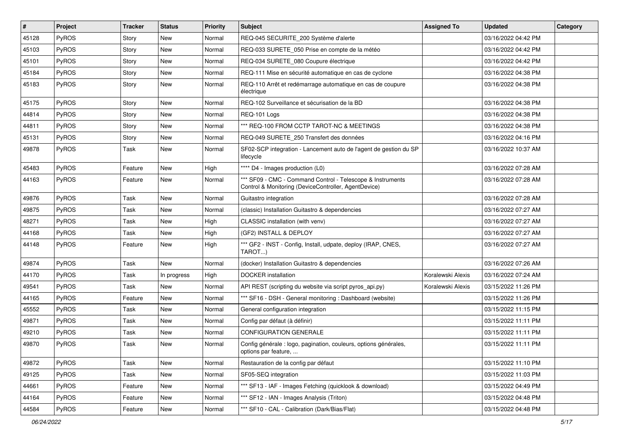| $\#$  | Project      | <b>Tracker</b> | <b>Status</b> | <b>Priority</b> | <b>Subject</b>                                                                                                     | <b>Assigned To</b> | <b>Updated</b>      | Category |
|-------|--------------|----------------|---------------|-----------------|--------------------------------------------------------------------------------------------------------------------|--------------------|---------------------|----------|
| 45128 | <b>PyROS</b> | Story          | New           | Normal          | REQ-045 SECURITE_200 Système d'alerte                                                                              |                    | 03/16/2022 04:42 PM |          |
| 45103 | <b>PyROS</b> | Story          | New           | Normal          | REQ-033 SURETE_050 Prise en compte de la météo                                                                     |                    | 03/16/2022 04:42 PM |          |
| 45101 | PyROS        | Story          | New           | Normal          | REQ-034 SURETE_080 Coupure électrique                                                                              |                    | 03/16/2022 04:42 PM |          |
| 45184 | PyROS        | Story          | New           | Normal          | REQ-111 Mise en sécurité automatique en cas de cyclone                                                             |                    | 03/16/2022 04:38 PM |          |
| 45183 | <b>PyROS</b> | Story          | New           | Normal          | REQ-110 Arrêt et redémarrage automatique en cas de coupure<br>électrique                                           |                    | 03/16/2022 04:38 PM |          |
| 45175 | <b>PyROS</b> | Story          | <b>New</b>    | Normal          | REQ-102 Surveillance et sécurisation de la BD                                                                      |                    | 03/16/2022 04:38 PM |          |
| 44814 | PyROS        | Story          | New           | Normal          | REQ-101 Logs                                                                                                       |                    | 03/16/2022 04:38 PM |          |
| 44811 | PyROS        | Story          | New           | Normal          | *** REQ-100 FROM CCTP TAROT-NC & MEETINGS                                                                          |                    | 03/16/2022 04:38 PM |          |
| 45131 | PyROS        | Story          | New           | Normal          | REQ-049 SURETE_250 Transfert des données                                                                           |                    | 03/16/2022 04:16 PM |          |
| 49878 | <b>PyROS</b> | Task           | New           | Normal          | SF02-SCP integration - Lancement auto de l'agent de gestion du SP<br>lifecycle                                     |                    | 03/16/2022 10:37 AM |          |
| 45483 | PyROS        | Feature        | New           | High            | **** D4 - Images production (L0)                                                                                   |                    | 03/16/2022 07:28 AM |          |
| 44163 | PyROS        | Feature        | New           | Normal          | *** SF09 - CMC - Command Control - Telescope & Instruments<br>Control & Monitoring (DeviceController, AgentDevice) |                    | 03/16/2022 07:28 AM |          |
| 49876 | PyROS        | Task           | New           | Normal          | Guitastro integration                                                                                              |                    | 03/16/2022 07:28 AM |          |
| 49875 | <b>PyROS</b> | Task           | New           | Normal          | (classic) Installation Guitastro & dependencies                                                                    |                    | 03/16/2022 07:27 AM |          |
| 48271 | PyROS        | Task           | New           | High            | CLASSIC installation (with venv)                                                                                   |                    | 03/16/2022 07:27 AM |          |
| 44168 | PyROS        | Task           | New           | High            | (GF2) INSTALL & DEPLOY                                                                                             |                    | 03/16/2022 07:27 AM |          |
| 44148 | PyROS        | Feature        | New           | High            | *** GF2 - INST - Config, Install, udpate, deploy (IRAP, CNES,<br>TAROT)                                            |                    | 03/16/2022 07:27 AM |          |
| 49874 | PyROS        | Task           | New           | Normal          | (docker) Installation Guitastro & dependencies                                                                     |                    | 03/16/2022 07:26 AM |          |
| 44170 | PyROS        | Task           | In progress   | High            | <b>DOCKER</b> installation                                                                                         | Koralewski Alexis  | 03/16/2022 07:24 AM |          |
| 49541 | PyROS        | Task           | New           | Normal          | API REST (scripting du website via script pyros api.py)                                                            | Koralewski Alexis  | 03/15/2022 11:26 PM |          |
| 44165 | PyROS        | Feature        | New           | Normal          | *** SF16 - DSH - General monitoring: Dashboard (website)                                                           |                    | 03/15/2022 11:26 PM |          |
| 45552 | PyROS        | Task           | New           | Normal          | General configuration integration                                                                                  |                    | 03/15/2022 11:15 PM |          |
| 49871 | <b>PyROS</b> | Task           | New           | Normal          | Config par défaut (à définir)                                                                                      |                    | 03/15/2022 11:11 PM |          |
| 49210 | PyROS        | Task           | New           | Normal          | <b>CONFIGURATION GENERALE</b>                                                                                      |                    | 03/15/2022 11:11 PM |          |
| 49870 | PyROS        | Task           | New           | Normal          | Config générale : logo, pagination, couleurs, options générales,<br>options par feature,                           |                    | 03/15/2022 11:11 PM |          |
| 49872 | PyROS        | Task           | New           | Normal          | Restauration de la config par défaut                                                                               |                    | 03/15/2022 11:10 PM |          |
| 49125 | PyROS        | Task           | New           | Normal          | SF05-SEQ integration                                                                                               |                    | 03/15/2022 11:03 PM |          |
| 44661 | PyROS        | Feature        | New           | Normal          | *** SF13 - IAF - Images Fetching (quicklook & download)                                                            |                    | 03/15/2022 04:49 PM |          |
| 44164 | PyROS        | Feature        | New           | Normal          | *** SF12 - IAN - Images Analysis (Triton)                                                                          |                    | 03/15/2022 04:48 PM |          |
| 44584 | PyROS        | Feature        | New           | Normal          | *** SF10 - CAL - Calibration (Dark/Bias/Flat)                                                                      |                    | 03/15/2022 04:48 PM |          |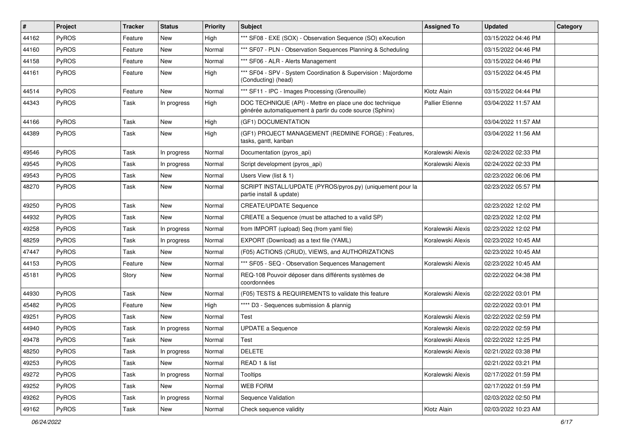| #     | Project      | Tracker | <b>Status</b> | <b>Priority</b> | Subject                                                                                                             | <b>Assigned To</b> | <b>Updated</b>      | Category |
|-------|--------------|---------|---------------|-----------------|---------------------------------------------------------------------------------------------------------------------|--------------------|---------------------|----------|
| 44162 | PyROS        | Feature | <b>New</b>    | High            | *** SF08 - EXE (SOX) - Observation Sequence (SO) eXecution                                                          |                    | 03/15/2022 04:46 PM |          |
| 44160 | PyROS        | Feature | New           | Normal          | *** SF07 - PLN - Observation Sequences Planning & Scheduling                                                        |                    | 03/15/2022 04:46 PM |          |
| 44158 | PyROS        | Feature | New           | Normal          | *** SF06 - ALR - Alerts Management                                                                                  |                    | 03/15/2022 04:46 PM |          |
| 44161 | PyROS        | Feature | New           | High            | *** SF04 - SPV - System Coordination & Supervision : Majordome<br>(Conducting) (head)                               |                    | 03/15/2022 04:45 PM |          |
| 44514 | PyROS        | Feature | New           | Normal          | *** SF11 - IPC - Images Processing (Grenouille)                                                                     | Klotz Alain        | 03/15/2022 04:44 PM |          |
| 44343 | PyROS        | Task    | In progress   | High            | DOC TECHNIQUE (API) - Mettre en place une doc technique<br>générée automatiquement à partir du code source (Sphinx) | Pallier Etienne    | 03/04/2022 11:57 AM |          |
| 44166 | PyROS        | Task    | New           | High            | (GF1) DOCUMENTATION                                                                                                 |                    | 03/04/2022 11:57 AM |          |
| 44389 | PyROS        | Task    | New           | High            | (GF1) PROJECT MANAGEMENT (REDMINE FORGE) : Features,<br>tasks, gantt, kanban                                        |                    | 03/04/2022 11:56 AM |          |
| 49546 | PyROS        | Task    | In progress   | Normal          | Documentation (pyros_api)                                                                                           | Koralewski Alexis  | 02/24/2022 02:33 PM |          |
| 49545 | PyROS        | Task    | In progress   | Normal          | Script development (pyros_api)                                                                                      | Koralewski Alexis  | 02/24/2022 02:33 PM |          |
| 49543 | <b>PyROS</b> | Task    | New           | Normal          | Users View (list & 1)                                                                                               |                    | 02/23/2022 06:06 PM |          |
| 48270 | PyROS        | Task    | New           | Normal          | SCRIPT INSTALL/UPDATE (PYROS/pyros.py) (uniquement pour la<br>partie install & update)                              |                    | 02/23/2022 05:57 PM |          |
| 49250 | PyROS        | Task    | <b>New</b>    | Normal          | <b>CREATE/UPDATE Sequence</b>                                                                                       |                    | 02/23/2022 12:02 PM |          |
| 44932 | PyROS        | Task    | New           | Normal          | CREATE a Sequence (must be attached to a valid SP)                                                                  |                    | 02/23/2022 12:02 PM |          |
| 49258 | PyROS        | Task    | In progress   | Normal          | from IMPORT (upload) Seq (from yaml file)                                                                           | Koralewski Alexis  | 02/23/2022 12:02 PM |          |
| 48259 | PyROS        | Task    | In progress   | Normal          | EXPORT (Download) as a text file (YAML)                                                                             | Koralewski Alexis  | 02/23/2022 10:45 AM |          |
| 47447 | PyROS        | Task    | <b>New</b>    | Normal          | (F05) ACTIONS (CRUD), VIEWS, and AUTHORIZATIONS                                                                     |                    | 02/23/2022 10:45 AM |          |
| 44153 | PyROS        | Feature | New           | Normal          | *** SF05 - SEQ - Observation Sequences Management                                                                   | Koralewski Alexis  | 02/23/2022 10:45 AM |          |
| 45181 | PyROS        | Story   | <b>New</b>    | Normal          | REQ-108 Pouvoir déposer dans différents systèmes de<br>coordonnées                                                  |                    | 02/22/2022 04:38 PM |          |
| 44930 | PyROS        | Task    | <b>New</b>    | Normal          | (F05) TESTS & REQUIREMENTS to validate this feature                                                                 | Koralewski Alexis  | 02/22/2022 03:01 PM |          |
| 45482 | PyROS        | Feature | New           | High            | **** D3 - Sequences submission & plannig                                                                            |                    | 02/22/2022 03:01 PM |          |
| 49251 | PyROS        | Task    | <b>New</b>    | Normal          | Test                                                                                                                | Koralewski Alexis  | 02/22/2022 02:59 PM |          |
| 44940 | PyROS        | Task    | In progress   | Normal          | <b>UPDATE a Sequence</b>                                                                                            | Koralewski Alexis  | 02/22/2022 02:59 PM |          |
| 49478 | PyROS        | Task    | New           | Normal          | Test                                                                                                                | Koralewski Alexis  | 02/22/2022 12:25 PM |          |
| 48250 | PyROS        | Task    | In progress   | Normal          | <b>DELETE</b>                                                                                                       | Koralewski Alexis  | 02/21/2022 03:38 PM |          |
| 49253 | PyROS        | Task    | New           | Normal          | READ 1 & list                                                                                                       |                    | 02/21/2022 03:21 PM |          |
| 49272 | PyROS        | Task    | In progress   | Normal          | Tooltips                                                                                                            | Koralewski Alexis  | 02/17/2022 01:59 PM |          |
| 49252 | PyROS        | Task    | New           | Normal          | WEB FORM                                                                                                            |                    | 02/17/2022 01:59 PM |          |
| 49262 | PyROS        | Task    | In progress   | Normal          | Sequence Validation                                                                                                 |                    | 02/03/2022 02:50 PM |          |
| 49162 | PyROS        | Task    | New           | Normal          | Check sequence validity                                                                                             | Klotz Alain        | 02/03/2022 10:23 AM |          |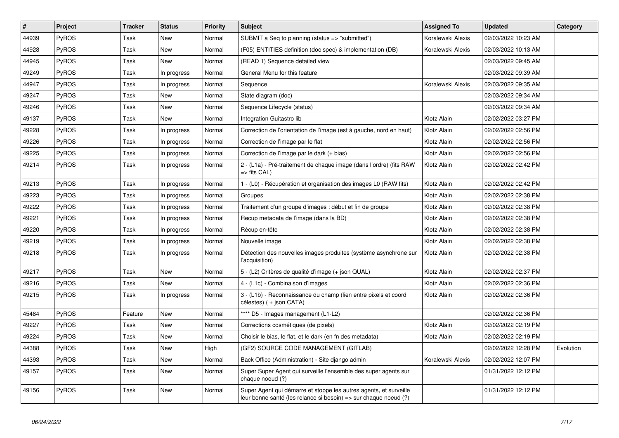| ∦     | Project      | <b>Tracker</b> | <b>Status</b> | <b>Priority</b> | Subject                                                                                                                               | <b>Assigned To</b> | <b>Updated</b>      | Category  |
|-------|--------------|----------------|---------------|-----------------|---------------------------------------------------------------------------------------------------------------------------------------|--------------------|---------------------|-----------|
| 44939 | <b>PyROS</b> | Task           | <b>New</b>    | Normal          | SUBMIT a Seq to planning (status => "submitted")                                                                                      | Koralewski Alexis  | 02/03/2022 10:23 AM |           |
| 44928 | PyROS        | Task           | <b>New</b>    | Normal          | (F05) ENTITIES definition (doc spec) & implementation (DB)                                                                            | Koralewski Alexis  | 02/03/2022 10:13 AM |           |
| 44945 | <b>PyROS</b> | Task           | New           | Normal          | (READ 1) Sequence detailed view                                                                                                       |                    | 02/03/2022 09:45 AM |           |
| 49249 | <b>PyROS</b> | Task           | In progress   | Normal          | General Menu for this feature                                                                                                         |                    | 02/03/2022 09:39 AM |           |
| 44947 | <b>PyROS</b> | Task           | In progress   | Normal          | Sequence                                                                                                                              | Koralewski Alexis  | 02/03/2022 09:35 AM |           |
| 49247 | PyROS        | Task           | <b>New</b>    | Normal          | State diagram (doc)                                                                                                                   |                    | 02/03/2022 09:34 AM |           |
| 49246 | <b>PyROS</b> | Task           | <b>New</b>    | Normal          | Sequence Lifecycle (status)                                                                                                           |                    | 02/03/2022 09:34 AM |           |
| 49137 | <b>PyROS</b> | Task           | <b>New</b>    | Normal          | Integration Guitastro lib                                                                                                             | Klotz Alain        | 02/02/2022 03:27 PM |           |
| 49228 | <b>PyROS</b> | Task           | In progress   | Normal          | Correction de l'orientation de l'image (est à gauche, nord en haut)                                                                   | Klotz Alain        | 02/02/2022 02:56 PM |           |
| 49226 | <b>PyROS</b> | Task           | In progress   | Normal          | Correction de l'image par le flat                                                                                                     | Klotz Alain        | 02/02/2022 02:56 PM |           |
| 49225 | PyROS        | Task           | In progress   | Normal          | Correction de l'image par le dark (+ bias)                                                                                            | Klotz Alain        | 02/02/2022 02:56 PM |           |
| 49214 | <b>PyROS</b> | Task           | In progress   | Normal          | 2 - (L1a) - Pré-traitement de chaque image (dans l'ordre) (fits RAW<br>=> fits CAL)                                                   | Klotz Alain        | 02/02/2022 02:42 PM |           |
| 49213 | <b>PyROS</b> | Task           | In progress   | Normal          | 1 - (L0) - Récupération et organisation des images L0 (RAW fits)                                                                      | Klotz Alain        | 02/02/2022 02:42 PM |           |
| 49223 | <b>PyROS</b> | Task           | In progress   | Normal          | Groupes                                                                                                                               | Klotz Alain        | 02/02/2022 02:38 PM |           |
| 49222 | <b>PyROS</b> | Task           | In progress   | Normal          | Traitement d'un groupe d'images : début et fin de groupe                                                                              | Klotz Alain        | 02/02/2022 02:38 PM |           |
| 49221 | <b>PyROS</b> | Task           | In progress   | Normal          | Recup metadata de l'image (dans la BD)                                                                                                | Klotz Alain        | 02/02/2022 02:38 PM |           |
| 49220 | <b>PyROS</b> | Task           | In progress   | Normal          | Récup en-tête                                                                                                                         | Klotz Alain        | 02/02/2022 02:38 PM |           |
| 49219 | <b>PyROS</b> | Task           | In progress   | Normal          | Nouvelle image                                                                                                                        | Klotz Alain        | 02/02/2022 02:38 PM |           |
| 49218 | <b>PyROS</b> | Task           | In progress   | Normal          | Détection des nouvelles images produites (système asynchrone sur<br>l'acquisition)                                                    | Klotz Alain        | 02/02/2022 02:38 PM |           |
| 49217 | <b>PyROS</b> | Task           | <b>New</b>    | Normal          | 5 - (L2) Critères de qualité d'image (+ json QUAL)                                                                                    | Klotz Alain        | 02/02/2022 02:37 PM |           |
| 49216 | <b>PyROS</b> | Task           | <b>New</b>    | Normal          | 4 - (L1c) - Combinaison d'images                                                                                                      | Klotz Alain        | 02/02/2022 02:36 PM |           |
| 49215 | <b>PyROS</b> | Task           | In progress   | Normal          | 3 - (L1b) - Reconnaissance du champ (lien entre pixels et coord<br>célestes) (+ json CATA)                                            | Klotz Alain        | 02/02/2022 02:36 PM |           |
| 45484 | <b>PyROS</b> | Feature        | <b>New</b>    | Normal          | **** D5 - Images management (L1-L2)                                                                                                   |                    | 02/02/2022 02:36 PM |           |
| 49227 | PyROS        | Task           | <b>New</b>    | Normal          | Corrections cosmétiques (de pixels)                                                                                                   | Klotz Alain        | 02/02/2022 02:19 PM |           |
| 49224 | <b>PyROS</b> | Task           | <b>New</b>    | Normal          | Choisir le bias, le flat, et le dark (en fn des metadata)                                                                             | Klotz Alain        | 02/02/2022 02:19 PM |           |
| 44388 | <b>PyROS</b> | Task           | <b>New</b>    | High            | (GF2) SOURCE CODE MANAGEMENT (GITLAB)                                                                                                 |                    | 02/02/2022 12:28 PM | Evolution |
| 44393 | <b>PyROS</b> | Task           | <b>New</b>    | Normal          | Back Office (Administration) - Site django admin                                                                                      | Koralewski Alexis  | 02/02/2022 12:07 PM |           |
| 49157 | <b>PyROS</b> | Task           | <b>New</b>    | Normal          | Super Super Agent qui surveille l'ensemble des super agents sur<br>chaque noeud (?)                                                   |                    | 01/31/2022 12:12 PM |           |
| 49156 | <b>PyROS</b> | Task           | <b>New</b>    | Normal          | Super Agent qui démarre et stoppe les autres agents, et surveille<br>leur bonne santé (les relance si besoin) => sur chaque noeud (?) |                    | 01/31/2022 12:12 PM |           |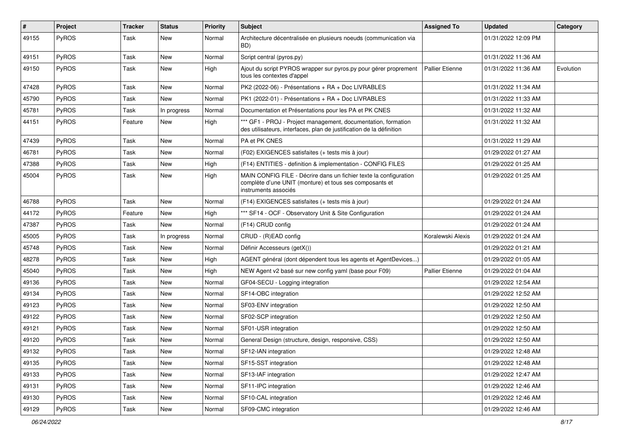| $\vert$ # | Project      | <b>Tracker</b> | <b>Status</b> | <b>Priority</b> | <b>Subject</b>                                                                                                                                       | <b>Assigned To</b>     | <b>Updated</b>      | Category  |
|-----------|--------------|----------------|---------------|-----------------|------------------------------------------------------------------------------------------------------------------------------------------------------|------------------------|---------------------|-----------|
| 49155     | PyROS        | Task           | New           | Normal          | Architecture décentralisée en plusieurs noeuds (communication via<br>BD)                                                                             |                        | 01/31/2022 12:09 PM |           |
| 49151     | PyROS        | Task           | <b>New</b>    | Normal          | Script central (pyros.py)                                                                                                                            |                        | 01/31/2022 11:36 AM |           |
| 49150     | PyROS        | Task           | New           | High            | Ajout du script PYROS wrapper sur pyros.py pour gérer proprement<br>tous les contextes d'appel                                                       | <b>Pallier Etienne</b> | 01/31/2022 11:36 AM | Evolution |
| 47428     | <b>PyROS</b> | Task           | New           | Normal          | PK2 (2022-06) - Présentations + RA + Doc LIVRABLES                                                                                                   |                        | 01/31/2022 11:34 AM |           |
| 45790     | PyROS        | Task           | <b>New</b>    | Normal          | PK1 (2022-01) - Présentations + RA + Doc LIVRABLES                                                                                                   |                        | 01/31/2022 11:33 AM |           |
| 45781     | PyROS        | Task           | In progress   | Normal          | Documentation et Présentations pour les PA et PK CNES                                                                                                |                        | 01/31/2022 11:32 AM |           |
| 44151     | PyROS        | Feature        | New           | High            | *** GF1 - PROJ - Project management, documentation, formation<br>des utilisateurs, interfaces, plan de justification de la définition                |                        | 01/31/2022 11:32 AM |           |
| 47439     | PyROS        | Task           | New           | Normal          | PA et PK CNES                                                                                                                                        |                        | 01/31/2022 11:29 AM |           |
| 46781     | PyROS        | Task           | New           | Normal          | (F02) EXIGENCES satisfaites (+ tests mis à jour)                                                                                                     |                        | 01/29/2022 01:27 AM |           |
| 47388     | PyROS        | Task           | <b>New</b>    | High            | (F14) ENTITIES - definition & implementation - CONFIG FILES                                                                                          |                        | 01/29/2022 01:25 AM |           |
| 45004     | PyROS        | Task           | New           | High            | MAIN CONFIG FILE - Décrire dans un fichier texte la configuration<br>complète d'une UNIT (monture) et tous ses composants et<br>instruments associés |                        | 01/29/2022 01:25 AM |           |
| 46788     | PyROS        | Task           | New           | Normal          | (F14) EXIGENCES satisfaites (+ tests mis à jour)                                                                                                     |                        | 01/29/2022 01:24 AM |           |
| 44172     | PyROS        | Feature        | <b>New</b>    | High            | *** SF14 - OCF - Observatory Unit & Site Configuration                                                                                               |                        | 01/29/2022 01:24 AM |           |
| 47387     | PyROS        | Task           | New           | Normal          | (F14) CRUD config                                                                                                                                    |                        | 01/29/2022 01:24 AM |           |
| 45005     | PyROS        | Task           | In progress   | Normal          | CRUD - (R)EAD config                                                                                                                                 | Koralewski Alexis      | 01/29/2022 01:24 AM |           |
| 45748     | PyROS        | Task           | <b>New</b>    | Normal          | Définir Accesseurs (getX())                                                                                                                          |                        | 01/29/2022 01:21 AM |           |
| 48278     | <b>PyROS</b> | Task           | New           | High            | AGENT général (dont dépendent tous les agents et AgentDevices)                                                                                       |                        | 01/29/2022 01:05 AM |           |
| 45040     | PyROS        | Task           | <b>New</b>    | High            | NEW Agent v2 basé sur new config yaml (base pour F09)                                                                                                | <b>Pallier Etienne</b> | 01/29/2022 01:04 AM |           |
| 49136     | PyROS        | Task           | New           | Normal          | GF04-SECU - Logging integration                                                                                                                      |                        | 01/29/2022 12:54 AM |           |
| 49134     | PyROS        | Task           | <b>New</b>    | Normal          | SF14-OBC integration                                                                                                                                 |                        | 01/29/2022 12:52 AM |           |
| 49123     | PyROS        | Task           | New           | Normal          | SF03-ENV integration                                                                                                                                 |                        | 01/29/2022 12:50 AM |           |
| 49122     | <b>PyROS</b> | Task           | New           | Normal          | SF02-SCP integration                                                                                                                                 |                        | 01/29/2022 12:50 AM |           |
| 49121     | PyROS        | Task           | New           | Normal          | SF01-USR integration                                                                                                                                 |                        | 01/29/2022 12:50 AM |           |
| 49120     | PyROS        | Task           | New           | Normal          | General Design (structure, design, responsive, CSS)                                                                                                  |                        | 01/29/2022 12:50 AM |           |
| 49132     | PyROS        | Task           | New           | Normal          | SF12-IAN integration                                                                                                                                 |                        | 01/29/2022 12:48 AM |           |
| 49135     | PyROS        | Task           | New           | Normal          | SF15-SST integration                                                                                                                                 |                        | 01/29/2022 12:48 AM |           |
| 49133     | PyROS        | Task           | New           | Normal          | SF13-IAF integration                                                                                                                                 |                        | 01/29/2022 12:47 AM |           |
| 49131     | PyROS        | Task           | New           | Normal          | SF11-IPC integration                                                                                                                                 |                        | 01/29/2022 12:46 AM |           |
| 49130     | PyROS        | Task           | New           | Normal          | SF10-CAL integration                                                                                                                                 |                        | 01/29/2022 12:46 AM |           |
| 49129     | PyROS        | Task           | New           | Normal          | SF09-CMC integration                                                                                                                                 |                        | 01/29/2022 12:46 AM |           |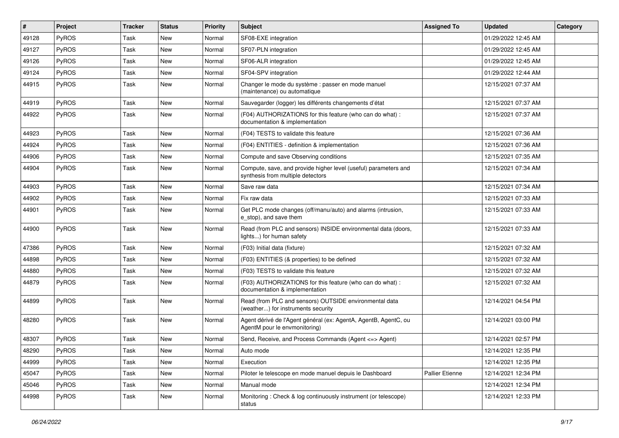| #     | Project      | <b>Tracker</b> | <b>Status</b> | <b>Priority</b> | <b>Subject</b>                                                                                       | <b>Assigned To</b> | <b>Updated</b>      | Category |
|-------|--------------|----------------|---------------|-----------------|------------------------------------------------------------------------------------------------------|--------------------|---------------------|----------|
| 49128 | PyROS        | Task           | New           | Normal          | SF08-EXE integration                                                                                 |                    | 01/29/2022 12:45 AM |          |
| 49127 | PyROS        | Task           | New           | Normal          | SF07-PLN integration                                                                                 |                    | 01/29/2022 12:45 AM |          |
| 49126 | <b>PyROS</b> | Task           | New           | Normal          | SF06-ALR integration                                                                                 |                    | 01/29/2022 12:45 AM |          |
| 49124 | <b>PyROS</b> | Task           | New           | Normal          | SF04-SPV integration                                                                                 |                    | 01/29/2022 12:44 AM |          |
| 44915 | <b>PyROS</b> | Task           | New           | Normal          | Changer le mode du système : passer en mode manuel<br>(maintenance) ou automatique                   |                    | 12/15/2021 07:37 AM |          |
| 44919 | <b>PyROS</b> | Task           | New           | Normal          | Sauvegarder (logger) les différents changements d'état                                               |                    | 12/15/2021 07:37 AM |          |
| 44922 | <b>PyROS</b> | Task           | New           | Normal          | (F04) AUTHORIZATIONS for this feature (who can do what) :<br>documentation & implementation          |                    | 12/15/2021 07:37 AM |          |
| 44923 | PyROS        | Task           | New           | Normal          | (F04) TESTS to validate this feature                                                                 |                    | 12/15/2021 07:36 AM |          |
| 44924 | <b>PyROS</b> | Task           | New           | Normal          | (F04) ENTITIES - definition & implementation                                                         |                    | 12/15/2021 07:36 AM |          |
| 44906 | <b>PyROS</b> | Task           | New           | Normal          | Compute and save Observing conditions                                                                |                    | 12/15/2021 07:35 AM |          |
| 44904 | PyROS        | Task           | New           | Normal          | Compute, save, and provide higher level (useful) parameters and<br>synthesis from multiple detectors |                    | 12/15/2021 07:34 AM |          |
| 44903 | PyROS        | Task           | New           | Normal          | Save raw data                                                                                        |                    | 12/15/2021 07:34 AM |          |
| 44902 | <b>PyROS</b> | Task           | New           | Normal          | Fix raw data                                                                                         |                    | 12/15/2021 07:33 AM |          |
| 44901 | <b>PyROS</b> | Task           | New           | Normal          | Get PLC mode changes (off/manu/auto) and alarms (intrusion,<br>e stop), and save them                |                    | 12/15/2021 07:33 AM |          |
| 44900 | <b>PyROS</b> | Task           | New           | Normal          | Read (from PLC and sensors) INSIDE environmental data (doors,<br>lights) for human safety            |                    | 12/15/2021 07:33 AM |          |
| 47386 | PyROS        | Task           | New           | Normal          | (F03) Initial data (fixture)                                                                         |                    | 12/15/2021 07:32 AM |          |
| 44898 | PyROS        | Task           | New           | Normal          | (F03) ENTITIES (& properties) to be defined                                                          |                    | 12/15/2021 07:32 AM |          |
| 44880 | <b>PyROS</b> | Task           | New           | Normal          | (F03) TESTS to validate this feature                                                                 |                    | 12/15/2021 07:32 AM |          |
| 44879 | <b>PyROS</b> | Task           | New           | Normal          | (F03) AUTHORIZATIONS for this feature (who can do what) :<br>documentation & implementation          |                    | 12/15/2021 07:32 AM |          |
| 44899 | PyROS        | Task           | New           | Normal          | Read (from PLC and sensors) OUTSIDE environmental data<br>(weather) for instruments security         |                    | 12/14/2021 04:54 PM |          |
| 48280 | PyROS        | Task           | New           | Normal          | Agent dérivé de l'Agent général (ex: AgentA, AgentB, AgentC, ou<br>AgentM pour le envmonitoring)     |                    | 12/14/2021 03:00 PM |          |
| 48307 | <b>PyROS</b> | Task           | New           | Normal          | Send, Receive, and Process Commands (Agent <= > Agent)                                               |                    | 12/14/2021 02:57 PM |          |
| 48290 | PyROS        | Task           | New           | Normal          | Auto mode                                                                                            |                    | 12/14/2021 12:35 PM |          |
| 44999 | PyROS        | Task           | New           | Normal          | Execution                                                                                            |                    | 12/14/2021 12:35 PM |          |
| 45047 | <b>PyROS</b> | Task           | New           | Normal          | Piloter le telescope en mode manuel depuis le Dashboard                                              | Pallier Etienne    | 12/14/2021 12:34 PM |          |
| 45046 | PyROS        | Task           | New           | Normal          | Manual mode                                                                                          |                    | 12/14/2021 12:34 PM |          |
| 44998 | PyROS        | Task           | New           | Normal          | Monitoring: Check & log continuously instrument (or telescope)<br>status                             |                    | 12/14/2021 12:33 PM |          |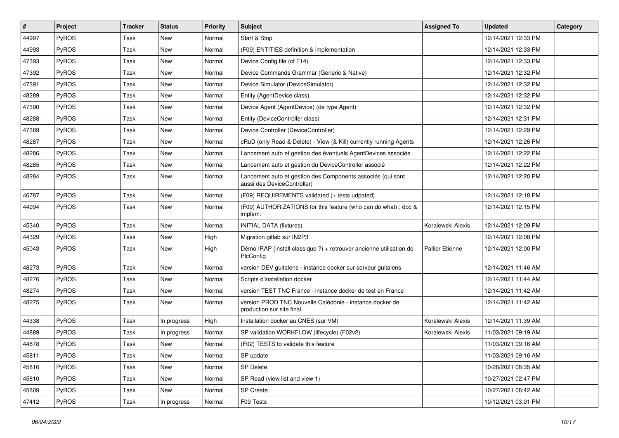| $\vert$ # | Project | <b>Tracker</b> | <b>Status</b> | <b>Priority</b> | Subject                                                                                    | <b>Assigned To</b>     | <b>Updated</b>      | Category |
|-----------|---------|----------------|---------------|-----------------|--------------------------------------------------------------------------------------------|------------------------|---------------------|----------|
| 44997     | PyROS   | Task           | <b>New</b>    | Normal          | Start & Stop                                                                               |                        | 12/14/2021 12:33 PM |          |
| 44993     | PyROS   | Task           | <b>New</b>    | Normal          | (F09) ENTITIES definition & implementation                                                 |                        | 12/14/2021 12:33 PM |          |
| 47393     | PyROS   | Task           | New           | Normal          | Device Config file (cf F14)                                                                |                        | 12/14/2021 12:33 PM |          |
| 47392     | PyROS   | Task           | <b>New</b>    | Normal          | Device Commands Grammar (Generic & Native)                                                 |                        | 12/14/2021 12:32 PM |          |
| 47391     | PyROS   | Task           | <b>New</b>    | Normal          | Device Simulator (DeviceSimulator)                                                         |                        | 12/14/2021 12:32 PM |          |
| 48289     | PyROS   | Task           | New           | Normal          | Entity (AgentDevice class)                                                                 |                        | 12/14/2021 12:32 PM |          |
| 47390     | PyROS   | Task           | <b>New</b>    | Normal          | Device Agent (AgentDevice) (de type Agent)                                                 |                        | 12/14/2021 12:32 PM |          |
| 48288     | PyROS   | Task           | <b>New</b>    | Normal          | Entity (DeviceController class)                                                            |                        | 12/14/2021 12:31 PM |          |
| 47389     | PyROS   | Task           | <b>New</b>    | Normal          | Device Controller (DeviceController)                                                       |                        | 12/14/2021 12:29 PM |          |
| 48287     | PyROS   | Task           | <b>New</b>    | Normal          | cRuD (only Read & Delete) - View (& Kill) currently running Agents                         |                        | 12/14/2021 12:26 PM |          |
| 48286     | PyROS   | Task           | New           | Normal          | Lancement auto et gestion des éventuels AgentDevices associés                              |                        | 12/14/2021 12:22 PM |          |
| 48285     | PyROS   | Task           | <b>New</b>    | Normal          | Lancement auto et gestion du DeviceController associé                                      |                        | 12/14/2021 12:22 PM |          |
| 48284     | PyROS   | Task           | New           | Normal          | Lancement auto et gestion des Components associés (qui sont<br>aussi des DeviceController) |                        | 12/14/2021 12:20 PM |          |
| 46787     | PyROS   | Task           | <b>New</b>    | Normal          | (F09) REQUIREMENTS validated (+ tests udpated)                                             |                        | 12/14/2021 12:18 PM |          |
| 44994     | PyROS   | Task           | <b>New</b>    | Normal          | (F09) AUTHORIZATIONS for this feature (who can do what) : doc &<br>implem.                 |                        | 12/14/2021 12:15 PM |          |
| 45340     | PyROS   | Task           | <b>New</b>    | Normal          | <b>INITIAL DATA (fixtures)</b>                                                             | Koralewski Alexis      | 12/14/2021 12:09 PM |          |
| 44329     | PyROS   | Task           | New           | High            | Migration gitlab sur IN2P3                                                                 |                        | 12/14/2021 12:08 PM |          |
| 45043     | PyROS   | Task           | <b>New</b>    | High            | Démo IRAP (install classique ?) + retrouver ancienne utilisation de<br>PlcConfig           | <b>Pallier Etienne</b> | 12/14/2021 12:00 PM |          |
| 48273     | PyROS   | Task           | <b>New</b>    | Normal          | version DEV guitalens - instance docker sur serveur guitalens                              |                        | 12/14/2021 11:46 AM |          |
| 48276     | PyROS   | Task           | <b>New</b>    | Normal          | Scripts d'installation docker                                                              |                        | 12/14/2021 11:44 AM |          |
| 48274     | PyROS   | Task           | New           | Normal          | version TEST TNC France - instance docker de test en France                                |                        | 12/14/2021 11:42 AM |          |
| 48275     | PyROS   | Task           | New           | Normal          | version PROD TNC Nouvelle Calédonie - instance docker de<br>production sur site final      |                        | 12/14/2021 11:42 AM |          |
| 44338     | PyROS   | Task           | In progress   | High            | Installation docker au CNES (sur VM)                                                       | Koralewski Alexis      | 12/14/2021 11:39 AM |          |
| 44889     | PyROS   | Task           | In progress   | Normal          | SP validation WORKFLOW (lifecycle) (F02v2)                                                 | Koralewski Alexis      | 11/03/2021 09:19 AM |          |
| 44878     | PyROS   | Task           | New           | Normal          | (F02) TESTS to validate this feature                                                       |                        | 11/03/2021 09:16 AM |          |
| 45811     | PyROS   | Task           | New           | Normal          | SP update                                                                                  |                        | 11/03/2021 09:16 AM |          |
| 45816     | PyROS   | Task           | New           | Normal          | <b>SP Delete</b>                                                                           |                        | 10/28/2021 08:35 AM |          |
| 45810     | PyROS   | Task           | New           | Normal          | SP Read (view list and view 1)                                                             |                        | 10/27/2021 02:47 PM |          |
| 45809     | PyROS   | Task           | New           | Normal          | SP Create                                                                                  |                        | 10/27/2021 08:42 AM |          |
| 47412     | PyROS   | Task           | In progress   | Normal          | F09 Tests                                                                                  |                        | 10/12/2021 03:01 PM |          |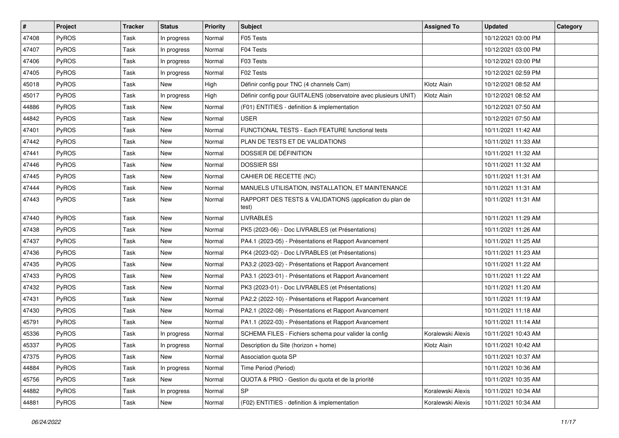| $\vert$ # | Project      | <b>Tracker</b> | <b>Status</b> | <b>Priority</b> | <b>Subject</b>                                                    | <b>Assigned To</b> | <b>Updated</b>      | Category |
|-----------|--------------|----------------|---------------|-----------------|-------------------------------------------------------------------|--------------------|---------------------|----------|
| 47408     | PyROS        | Task           | In progress   | Normal          | F05 Tests                                                         |                    | 10/12/2021 03:00 PM |          |
| 47407     | PyROS        | Task           | In progress   | Normal          | F04 Tests                                                         |                    | 10/12/2021 03:00 PM |          |
| 47406     | PyROS        | Task           | In progress   | Normal          | F03 Tests                                                         |                    | 10/12/2021 03:00 PM |          |
| 47405     | PyROS        | Task           | In progress   | Normal          | F02 Tests                                                         |                    | 10/12/2021 02:59 PM |          |
| 45018     | PyROS        | Task           | <b>New</b>    | High            | Définir config pour TNC (4 channels Cam)                          | Klotz Alain        | 10/12/2021 08:52 AM |          |
| 45017     | PyROS        | Task           | In progress   | High            | Définir config pour GUITALENS (observatoire avec plusieurs UNIT)  | Klotz Alain        | 10/12/2021 08:52 AM |          |
| 44886     | PyROS        | Task           | <b>New</b>    | Normal          | (F01) ENTITIES - definition & implementation                      |                    | 10/12/2021 07:50 AM |          |
| 44842     | PyROS        | Task           | New           | Normal          | <b>USER</b>                                                       |                    | 10/12/2021 07:50 AM |          |
| 47401     | PyROS        | Task           | New           | Normal          | FUNCTIONAL TESTS - Each FEATURE functional tests                  |                    | 10/11/2021 11:42 AM |          |
| 47442     | PyROS        | Task           | <b>New</b>    | Normal          | PLAN DE TESTS ET DE VALIDATIONS                                   |                    | 10/11/2021 11:33 AM |          |
| 47441     | <b>PyROS</b> | Task           | New           | Normal          | DOSSIER DE DÉFINITION                                             |                    | 10/11/2021 11:32 AM |          |
| 47446     | PyROS        | Task           | <b>New</b>    | Normal          | <b>DOSSIER SSI</b>                                                |                    | 10/11/2021 11:32 AM |          |
| 47445     | PyROS        | Task           | New           | Normal          | CAHIER DE RECETTE (NC)                                            |                    | 10/11/2021 11:31 AM |          |
| 47444     | PyROS        | Task           | <b>New</b>    | Normal          | MANUELS UTILISATION, INSTALLATION, ET MAINTENANCE                 |                    | 10/11/2021 11:31 AM |          |
| 47443     | PyROS        | Task           | New           | Normal          | RAPPORT DES TESTS & VALIDATIONS (application du plan de<br>test). |                    | 10/11/2021 11:31 AM |          |
| 47440     | PyROS        | Task           | New           | Normal          | <b>LIVRABLES</b>                                                  |                    | 10/11/2021 11:29 AM |          |
| 47438     | PyROS        | Task           | <b>New</b>    | Normal          | PK5 (2023-06) - Doc LIVRABLES (et Présentations)                  |                    | 10/11/2021 11:26 AM |          |
| 47437     | <b>PyROS</b> | Task           | New           | Normal          | PA4.1 (2023-05) - Présentations et Rapport Avancement             |                    | 10/11/2021 11:25 AM |          |
| 47436     | PyROS        | Task           | <b>New</b>    | Normal          | PK4 (2023-02) - Doc LIVRABLES (et Présentations)                  |                    | 10/11/2021 11:23 AM |          |
| 47435     | PyROS        | Task           | New           | Normal          | PA3.2 (2023-02) - Présentations et Rapport Avancement             |                    | 10/11/2021 11:22 AM |          |
| 47433     | PyROS        | Task           | New           | Normal          | PA3.1 (2023-01) - Présentations et Rapport Avancement             |                    | 10/11/2021 11:22 AM |          |
| 47432     | PyROS        | Task           | <b>New</b>    | Normal          | PK3 (2023-01) - Doc LIVRABLES (et Présentations)                  |                    | 10/11/2021 11:20 AM |          |
| 47431     | PyROS        | Task           | New           | Normal          | PA2.2 (2022-10) - Présentations et Rapport Avancement             |                    | 10/11/2021 11:19 AM |          |
| 47430     | PyROS        | Task           | <b>New</b>    | Normal          | PA2.1 (2022-08) - Présentations et Rapport Avancement             |                    | 10/11/2021 11:18 AM |          |
| 45791     | PyROS        | Task           | New           | Normal          | PA1.1 (2022-03) - Présentations et Rapport Avancement             |                    | 10/11/2021 11:14 AM |          |
| 45336     | PyROS        | Task           | In progress   | Normal          | SCHEMA FILES - Fichiers schema pour valider la config             | Koralewski Alexis  | 10/11/2021 10:43 AM |          |
| 45337     | PyROS        | Task           | In progress   | Normal          | Description du Site (horizon + home)                              | Klotz Alain        | 10/11/2021 10:42 AM |          |
| 47375     | PyROS        | Task           | New           | Normal          | Association quota SP                                              |                    | 10/11/2021 10:37 AM |          |
| 44884     | PyROS        | Task           | In progress   | Normal          | Time Period (Period)                                              |                    | 10/11/2021 10:36 AM |          |
| 45756     | PyROS        | Task           | New           | Normal          | QUOTA & PRIO - Gestion du quota et de la priorité                 |                    | 10/11/2021 10:35 AM |          |
| 44882     | PyROS        | Task           | In progress   | Normal          | <b>SP</b>                                                         | Koralewski Alexis  | 10/11/2021 10:34 AM |          |
| 44881     | PyROS        | Task           | New           | Normal          | (F02) ENTITIES - definition & implementation                      | Koralewski Alexis  | 10/11/2021 10:34 AM |          |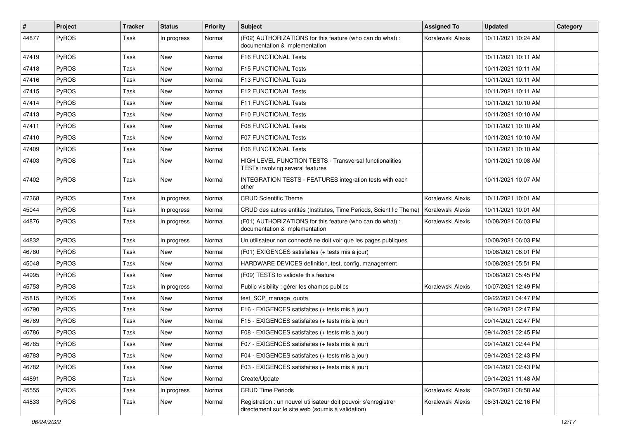| #     | Project      | <b>Tracker</b> | <b>Status</b> | <b>Priority</b> | <b>Subject</b>                                                                                                       | <b>Assigned To</b> | <b>Updated</b>      | Category |
|-------|--------------|----------------|---------------|-----------------|----------------------------------------------------------------------------------------------------------------------|--------------------|---------------------|----------|
| 44877 | PyROS        | Task           | In progress   | Normal          | (F02) AUTHORIZATIONS for this feature (who can do what) :<br>documentation & implementation                          | Koralewski Alexis  | 10/11/2021 10:24 AM |          |
| 47419 | PyROS        | Task           | <b>New</b>    | Normal          | <b>F16 FUNCTIONAL Tests</b>                                                                                          |                    | 10/11/2021 10:11 AM |          |
| 47418 | PyROS        | Task           | <b>New</b>    | Normal          | F15 FUNCTIONAL Tests                                                                                                 |                    | 10/11/2021 10:11 AM |          |
| 47416 | PyROS        | Task           | New           | Normal          | F13 FUNCTIONAL Tests                                                                                                 |                    | 10/11/2021 10:11 AM |          |
| 47415 | <b>PyROS</b> | Task           | New           | Normal          | F12 FUNCTIONAL Tests                                                                                                 |                    | 10/11/2021 10:11 AM |          |
| 47414 | PyROS        | Task           | <b>New</b>    | Normal          | F11 FUNCTIONAL Tests                                                                                                 |                    | 10/11/2021 10:10 AM |          |
| 47413 | PyROS        | Task           | New           | Normal          | F10 FUNCTIONAL Tests                                                                                                 |                    | 10/11/2021 10:10 AM |          |
| 47411 | PyROS        | Task           | <b>New</b>    | Normal          | <b>F08 FUNCTIONAL Tests</b>                                                                                          |                    | 10/11/2021 10:10 AM |          |
| 47410 | PyROS        | Task           | <b>New</b>    | Normal          | F07 FUNCTIONAL Tests                                                                                                 |                    | 10/11/2021 10:10 AM |          |
| 47409 | PyROS        | Task           | New           | Normal          | F06 FUNCTIONAL Tests                                                                                                 |                    | 10/11/2021 10:10 AM |          |
| 47403 | PyROS        | Task           | New           | Normal          | <b>HIGH LEVEL FUNCTION TESTS - Transversal functionalities</b><br>TESTs involving several features                   |                    | 10/11/2021 10:08 AM |          |
| 47402 | PyROS        | Task           | New           | Normal          | INTEGRATION TESTS - FEATURES integration tests with each<br>other                                                    |                    | 10/11/2021 10:07 AM |          |
| 47368 | PyROS        | Task           | In progress   | Normal          | <b>CRUD Scientific Theme</b>                                                                                         | Koralewski Alexis  | 10/11/2021 10:01 AM |          |
| 45044 | PyROS        | Task           | In progress   | Normal          | CRUD des autres entités (Institutes, Time Periods, Scientific Theme)                                                 | Koralewski Alexis  | 10/11/2021 10:01 AM |          |
| 44876 | PyROS        | Task           | In progress   | Normal          | (F01) AUTHORIZATIONS for this feature (who can do what) :<br>documentation & implementation                          | Koralewski Alexis  | 10/08/2021 06:03 PM |          |
| 44832 | PyROS        | Task           | In progress   | Normal          | Un utilisateur non connecté ne doit voir que les pages publiques                                                     |                    | 10/08/2021 06:03 PM |          |
| 46780 | PyROS        | Task           | <b>New</b>    | Normal          | (F01) EXIGENCES satisfaites (+ tests mis à jour)                                                                     |                    | 10/08/2021 06:01 PM |          |
| 45048 | PyROS        | Task           | New           | Normal          | HARDWARE DEVICES definition, test, config, management                                                                |                    | 10/08/2021 05:51 PM |          |
| 44995 | PyROS        | Task           | <b>New</b>    | Normal          | (F09) TESTS to validate this feature                                                                                 |                    | 10/08/2021 05:45 PM |          |
| 45753 | PyROS        | Task           | In progress   | Normal          | Public visibility : gérer les champs publics                                                                         | Koralewski Alexis  | 10/07/2021 12:49 PM |          |
| 45815 | PyROS        | Task           | <b>New</b>    | Normal          | test_SCP_manage_quota                                                                                                |                    | 09/22/2021 04:47 PM |          |
| 46790 | PyROS        | Task           | <b>New</b>    | Normal          | F16 - EXIGENCES satisfaites (+ tests mis à jour)                                                                     |                    | 09/14/2021 02:47 PM |          |
| 46789 | <b>PyROS</b> | Task           | New           | Normal          | F15 - EXIGENCES satisfaites (+ tests mis à jour)                                                                     |                    | 09/14/2021 02:47 PM |          |
| 46786 | PyROS        | Task           | <b>New</b>    | Normal          | F08 - EXIGENCES satisfaites (+ tests mis à jour)                                                                     |                    | 09/14/2021 02:45 PM |          |
| 46785 | PyROS        | Task           | New           | Normal          | F07 - EXIGENCES satisfaites (+ tests mis à jour)                                                                     |                    | 09/14/2021 02:44 PM |          |
| 46783 | PyROS        | Task           | New           | Normal          | F04 - EXIGENCES satisfaites (+ tests mis à jour)                                                                     |                    | 09/14/2021 02:43 PM |          |
| 46782 | PyROS        | Task           | New           | Normal          | F03 - EXIGENCES satisfaites (+ tests mis à jour)                                                                     |                    | 09/14/2021 02:43 PM |          |
| 44891 | PyROS        | Task           | New           | Normal          | Create/Update                                                                                                        |                    | 09/14/2021 11:48 AM |          |
| 45555 | PyROS        | Task           | In progress   | Normal          | <b>CRUD Time Periods</b>                                                                                             | Koralewski Alexis  | 09/07/2021 08:58 AM |          |
| 44833 | PyROS        | Task           | New           | Normal          | Registration : un nouvel utilisateur doit pouvoir s'enregistrer<br>directement sur le site web (soumis à validation) | Koralewski Alexis  | 08/31/2021 02:16 PM |          |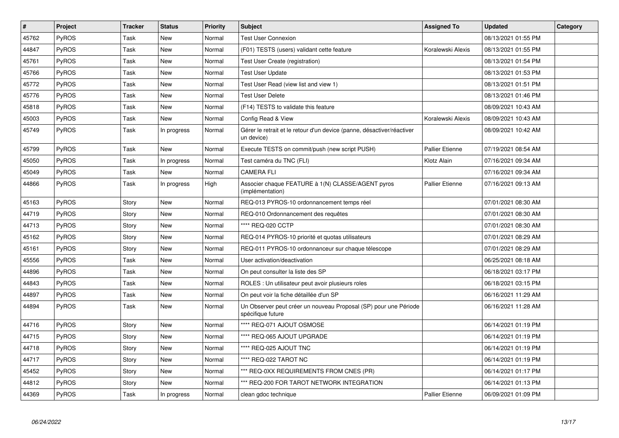| $\vert$ # | <b>Project</b> | <b>Tracker</b> | <b>Status</b> | <b>Priority</b> | <b>Subject</b>                                                                        | <b>Assigned To</b>     | <b>Updated</b>      | Category |
|-----------|----------------|----------------|---------------|-----------------|---------------------------------------------------------------------------------------|------------------------|---------------------|----------|
| 45762     | PyROS          | Task           | <b>New</b>    | Normal          | <b>Test User Connexion</b>                                                            |                        | 08/13/2021 01:55 PM |          |
| 44847     | PyROS          | Task           | <b>New</b>    | Normal          | (F01) TESTS (users) validant cette feature                                            | Koralewski Alexis      | 08/13/2021 01:55 PM |          |
| 45761     | PyROS          | Task           | <b>New</b>    | Normal          | Test User Create (registration)                                                       |                        | 08/13/2021 01:54 PM |          |
| 45766     | <b>PyROS</b>   | Task           | <b>New</b>    | Normal          | <b>Test User Update</b>                                                               |                        | 08/13/2021 01:53 PM |          |
| 45772     | PyROS          | Task           | <b>New</b>    | Normal          | Test User Read (view list and view 1)                                                 |                        | 08/13/2021 01:51 PM |          |
| 45776     | PyROS          | Task           | <b>New</b>    | Normal          | <b>Test User Delete</b>                                                               |                        | 08/13/2021 01:46 PM |          |
| 45818     | <b>PyROS</b>   | Task           | <b>New</b>    | Normal          | (F14) TESTS to validate this feature                                                  |                        | 08/09/2021 10:43 AM |          |
| 45003     | PyROS          | Task           | <b>New</b>    | Normal          | Config Read & View                                                                    | Koralewski Alexis      | 08/09/2021 10:43 AM |          |
| 45749     | <b>PyROS</b>   | Task           | In progress   | Normal          | Gérer le retrait et le retour d'un device (panne, désactiver/réactiver<br>un device)  |                        | 08/09/2021 10:42 AM |          |
| 45799     | <b>PyROS</b>   | Task           | <b>New</b>    | Normal          | Execute TESTS on commit/push (new script PUSH)                                        | <b>Pallier Etienne</b> | 07/19/2021 08:54 AM |          |
| 45050     | PyROS          | Task           | In progress   | Normal          | Test caméra du TNC (FLI)                                                              | Klotz Alain            | 07/16/2021 09:34 AM |          |
| 45049     | <b>PyROS</b>   | Task           | <b>New</b>    | Normal          | <b>CAMERA FLI</b>                                                                     |                        | 07/16/2021 09:34 AM |          |
| 44866     | PyROS          | Task           | In progress   | High            | Associer chaque FEATURE à 1(N) CLASSE/AGENT pyros<br>(implémentation)                 | Pallier Etienne        | 07/16/2021 09:13 AM |          |
| 45163     | PyROS          | Story          | <b>New</b>    | Normal          | REQ-013 PYROS-10 ordonnancement temps réel                                            |                        | 07/01/2021 08:30 AM |          |
| 44719     | PyROS          | Story          | <b>New</b>    | Normal          | REQ-010 Ordonnancement des requêtes                                                   |                        | 07/01/2021 08:30 AM |          |
| 44713     | PyROS          | Story          | New           | Normal          | **** REQ-020 CCTP                                                                     |                        | 07/01/2021 08:30 AM |          |
| 45162     | PyROS          | Story          | <b>New</b>    | Normal          | REQ-014 PYROS-10 priorité et quotas utilisateurs                                      |                        | 07/01/2021 08:29 AM |          |
| 45161     | PyROS          | Story          | New           | Normal          | REQ-011 PYROS-10 ordonnanceur sur chaque télescope                                    |                        | 07/01/2021 08:29 AM |          |
| 45556     | <b>PyROS</b>   | Task           | New           | Normal          | User activation/deactivation                                                          |                        | 06/25/2021 08:18 AM |          |
| 44896     | <b>PyROS</b>   | Task           | New           | Normal          | On peut consulter la liste des SP                                                     |                        | 06/18/2021 03:17 PM |          |
| 44843     | PyROS          | Task           | New           | Normal          | ROLES : Un utilisateur peut avoir plusieurs roles                                     |                        | 06/18/2021 03:15 PM |          |
| 44897     | PyROS          | Task           | New           | Normal          | On peut voir la fiche détaillée d'un SP                                               |                        | 06/16/2021 11:29 AM |          |
| 44894     | <b>PyROS</b>   | Task           | New           | Normal          | Un Observer peut créer un nouveau Proposal (SP) pour une Période<br>spécifique future |                        | 06/16/2021 11:28 AM |          |
| 44716     | <b>PyROS</b>   | Story          | New           | Normal          | **** REQ-071 AJOUT OSMOSE                                                             |                        | 06/14/2021 01:19 PM |          |
| 44715     | <b>PyROS</b>   | Story          | New           | Normal          | **** REQ-065 AJOUT UPGRADE                                                            |                        | 06/14/2021 01:19 PM |          |
| 44718     | <b>PyROS</b>   | Story          | New           | Normal          | **** REQ-025 AJOUT TNC                                                                |                        | 06/14/2021 01:19 PM |          |
| 44717     | PyROS          | Story          | New           | Normal          | **** REQ-022 TAROT NC                                                                 |                        | 06/14/2021 01:19 PM |          |
| 45452     | <b>PyROS</b>   | Story          | New           | Normal          | *** REQ-0XX REQUIREMENTS FROM CNES (PR)                                               |                        | 06/14/2021 01:17 PM |          |
| 44812     | PyROS          | Story          | New           | Normal          | *** REQ-200 FOR TAROT NETWORK INTEGRATION                                             |                        | 06/14/2021 01:13 PM |          |
| 44369     | PyROS          | Task           | In progress   | Normal          | clean gdoc technique                                                                  | <b>Pallier Etienne</b> | 06/09/2021 01:09 PM |          |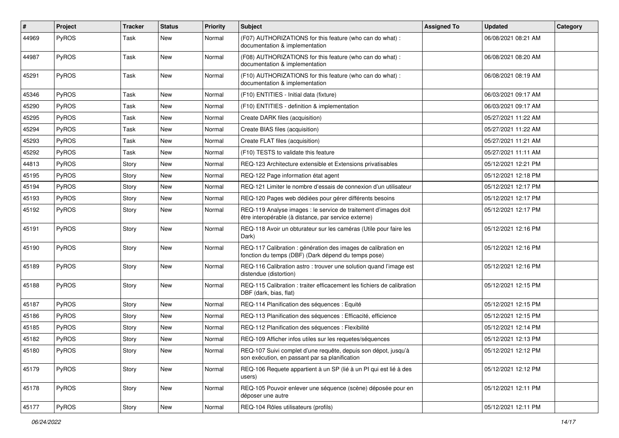| #     | Project      | <b>Tracker</b> | <b>Status</b> | <b>Priority</b> | Subject                                                                                                                 | <b>Assigned To</b> | <b>Updated</b>      | Category |
|-------|--------------|----------------|---------------|-----------------|-------------------------------------------------------------------------------------------------------------------------|--------------------|---------------------|----------|
| 44969 | PyROS        | Task           | New           | Normal          | (F07) AUTHORIZATIONS for this feature (who can do what) :<br>documentation & implementation                             |                    | 06/08/2021 08:21 AM |          |
| 44987 | PyROS        | Task           | New           | Normal          | (F08) AUTHORIZATIONS for this feature (who can do what) :<br>documentation & implementation                             |                    | 06/08/2021 08:20 AM |          |
| 45291 | <b>PyROS</b> | Task           | <b>New</b>    | Normal          | (F10) AUTHORIZATIONS for this feature (who can do what) :<br>documentation & implementation                             |                    | 06/08/2021 08:19 AM |          |
| 45346 | PyROS        | Task           | <b>New</b>    | Normal          | (F10) ENTITIES - Initial data (fixture)                                                                                 |                    | 06/03/2021 09:17 AM |          |
| 45290 | PyROS        | Task           | New           | Normal          | (F10) ENTITIES - definition & implementation                                                                            |                    | 06/03/2021 09:17 AM |          |
| 45295 | <b>PyROS</b> | Task           | New           | Normal          | Create DARK files (acquisition)                                                                                         |                    | 05/27/2021 11:22 AM |          |
| 45294 | PyROS        | Task           | New           | Normal          | Create BIAS files (acquisition)                                                                                         |                    | 05/27/2021 11:22 AM |          |
| 45293 | PyROS        | Task           | New           | Normal          | Create FLAT files (acquisition)                                                                                         |                    | 05/27/2021 11:21 AM |          |
| 45292 | PyROS        | Task           | <b>New</b>    | Normal          | (F10) TESTS to validate this feature                                                                                    |                    | 05/27/2021 11:11 AM |          |
| 44813 | PyROS        | Story          | New           | Normal          | REQ-123 Architecture extensible et Extensions privatisables                                                             |                    | 05/12/2021 12:21 PM |          |
| 45195 | <b>PyROS</b> | Story          | New           | Normal          | REQ-122 Page information état agent                                                                                     |                    | 05/12/2021 12:18 PM |          |
| 45194 | PyROS        | Story          | New           | Normal          | REQ-121 Limiter le nombre d'essais de connexion d'un utilisateur                                                        |                    | 05/12/2021 12:17 PM |          |
| 45193 | <b>PyROS</b> | Story          | New           | Normal          | REQ-120 Pages web dédiées pour gérer différents besoins                                                                 |                    | 05/12/2021 12:17 PM |          |
| 45192 | PyROS        | Story          | New           | Normal          | REQ-119 Analyse images : le service de traitement d'images doit<br>être interopérable (à distance, par service externe) |                    | 05/12/2021 12:17 PM |          |
| 45191 | PyROS        | Story          | New           | Normal          | REQ-118 Avoir un obturateur sur les caméras (Utile pour faire les<br>Dark)                                              |                    | 05/12/2021 12:16 PM |          |
| 45190 | PyROS        | Story          | New           | Normal          | REQ-117 Calibration : génération des images de calibration en<br>fonction du temps (DBF) (Dark dépend du temps pose)    |                    | 05/12/2021 12:16 PM |          |
| 45189 | <b>PyROS</b> | Story          | <b>New</b>    | Normal          | REQ-116 Calibration astro: trouver une solution quand l'image est<br>distendue (distortion)                             |                    | 05/12/2021 12:16 PM |          |
| 45188 | PyROS        | Story          | New           | Normal          | REQ-115 Calibration: traiter efficacement les fichiers de calibration<br>DBF (dark, bias, flat)                         |                    | 05/12/2021 12:15 PM |          |
| 45187 | <b>PyROS</b> | Story          | New           | Normal          | REQ-114 Planification des séquences : Equité                                                                            |                    | 05/12/2021 12:15 PM |          |
| 45186 | PyROS        | Story          | New           | Normal          | REQ-113 Planification des séquences : Efficacité, efficience                                                            |                    | 05/12/2021 12:15 PM |          |
| 45185 | PyROS        | Story          | New           | Normal          | REQ-112 Planification des séquences : Flexibilité                                                                       |                    | 05/12/2021 12:14 PM |          |
| 45182 | <b>PyROS</b> | Story          | New           | Normal          | REQ-109 Afficher infos utiles sur les requetes/séquences                                                                |                    | 05/12/2021 12:13 PM |          |
| 45180 | PyROS        | Story          | New           | Normal          | REQ-107 Suivi complet d'une requête, depuis son dépot, jusqu'à<br>son exécution, en passant par sa planification        |                    | 05/12/2021 12:12 PM |          |
| 45179 | PyROS        | Story          | New           | Normal          | REQ-106 Requete appartient à un SP (lié à un PI qui est lié à des<br>users)                                             |                    | 05/12/2021 12:12 PM |          |
| 45178 | PyROS        | Story          | New           | Normal          | REQ-105 Pouvoir enlever une séquence (scène) déposée pour en<br>déposer une autre                                       |                    | 05/12/2021 12:11 PM |          |
| 45177 | PyROS        | Story          | New           | Normal          | REQ-104 Rôles utilisateurs (profils)                                                                                    |                    | 05/12/2021 12:11 PM |          |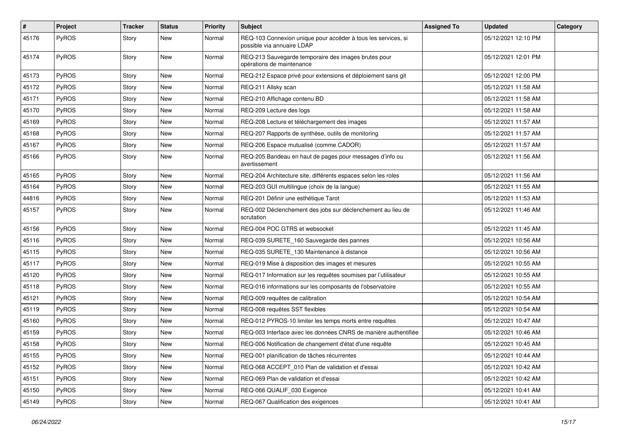| $\sharp$ | <b>Project</b> | <b>Tracker</b> | <b>Status</b> | <b>Priority</b> | Subject                                                                                     | <b>Assigned To</b> | <b>Updated</b>      | Category |
|----------|----------------|----------------|---------------|-----------------|---------------------------------------------------------------------------------------------|--------------------|---------------------|----------|
| 45176    | PyROS          | Story          | New           | Normal          | REQ-103 Connexion unique pour accéder à tous les services, si<br>possible via annuaire LDAP |                    | 05/12/2021 12:10 PM |          |
| 45174    | PyROS          | Story          | New           | Normal          | REQ-213 Sauvegarde temporaire des images brutes pour<br>opérations de maintenance           |                    | 05/12/2021 12:01 PM |          |
| 45173    | PyROS          | Story          | <b>New</b>    | Normal          | REQ-212 Espace privé pour extensions et déploiement sans git                                |                    | 05/12/2021 12:00 PM |          |
| 45172    | PyROS          | Story          | <b>New</b>    | Normal          | REQ-211 Allsky scan                                                                         |                    | 05/12/2021 11:58 AM |          |
| 45171    | PyROS          | Story          | <b>New</b>    | Normal          | REQ-210 Affichage contenu BD                                                                |                    | 05/12/2021 11:58 AM |          |
| 45170    | PyROS          | Story          | New           | Normal          | REQ-209 Lecture des logs                                                                    |                    | 05/12/2021 11:58 AM |          |
| 45169    | PyROS          | Story          | New           | Normal          | REQ-208 Lecture et téléchargement des images                                                |                    | 05/12/2021 11:57 AM |          |
| 45168    | PyROS          | Story          | <b>New</b>    | Normal          | REQ-207 Rapports de synthèse, outils de monitoring                                          |                    | 05/12/2021 11:57 AM |          |
| 45167    | PyROS          | Story          | New           | Normal          | REQ-206 Espace mutualisé (comme CADOR)                                                      |                    | 05/12/2021 11:57 AM |          |
| 45166    | PyROS          | Story          | New           | Normal          | REQ-205 Bandeau en haut de pages pour messages d'info ou<br>avertissement                   |                    | 05/12/2021 11:56 AM |          |
| 45165    | PyROS          | Story          | <b>New</b>    | Normal          | REQ-204 Architecture site, différents espaces selon les roles                               |                    | 05/12/2021 11:56 AM |          |
| 45164    | PyROS          | Story          | <b>New</b>    | Normal          | REQ-203 GUI multilingue (choix de la langue)                                                |                    | 05/12/2021 11:55 AM |          |
| 44816    | PyROS          | Story          | <b>New</b>    | Normal          | REQ-201 Définir une esthétique Tarot                                                        |                    | 05/12/2021 11:53 AM |          |
| 45157    | PyROS          | Story          | New           | Normal          | REQ-002 Déclenchement des jobs sur déclenchement au lieu de<br>scrutation                   |                    | 05/12/2021 11:46 AM |          |
| 45156    | PyROS          | Story          | New           | Normal          | REQ-004 POC GTRS et websocket                                                               |                    | 05/12/2021 11:45 AM |          |
| 45116    | PyROS          | Story          | <b>New</b>    | Normal          | REQ-039 SURETE_160 Sauvegarde des pannes                                                    |                    | 05/12/2021 10:56 AM |          |
| 45115    | PyROS          | Story          | New           | Normal          | REQ-035 SURETE_130 Maintenance à distance                                                   |                    | 05/12/2021 10:56 AM |          |
| 45117    | PyROS          | Story          | <b>New</b>    | Normal          | REQ-019 Mise à disposition des images et mesures                                            |                    | 05/12/2021 10:55 AM |          |
| 45120    | PyROS          | Story          | <b>New</b>    | Normal          | REQ-017 Information sur les requêtes soumises par l'utilisateur                             |                    | 05/12/2021 10:55 AM |          |
| 45118    | PyROS          | Story          | <b>New</b>    | Normal          | REQ-016 informations sur les composants de l'observatoire                                   |                    | 05/12/2021 10:55 AM |          |
| 45121    | PyROS          | Story          | <b>New</b>    | Normal          | REQ-009 requêtes de calibration                                                             |                    | 05/12/2021 10:54 AM |          |
| 45119    | PyROS          | Story          | New           | Normal          | REQ-008 requêtes SST flexibles                                                              |                    | 05/12/2021 10:54 AM |          |
| 45160    | PyROS          | Story          | <b>New</b>    | Normal          | REQ-012 PYROS-10 limiter les temps morts entre requêtes                                     |                    | 05/12/2021 10:47 AM |          |
| 45159    | PyROS          | Story          | <b>New</b>    | Normal          | REQ-003 Interface avec les données CNRS de manière authentifiée                             |                    | 05/12/2021 10:46 AM |          |
| 45158    | PyROS          | Story          | New           | Normal          | REQ-006 Notification de changement d'état d'une requête                                     |                    | 05/12/2021 10:45 AM |          |
| 45155    | PyROS          | Story          | New           | Normal          | REQ-001 planification de tâches récurrentes                                                 |                    | 05/12/2021 10:44 AM |          |
| 45152    | PyROS          | Story          | New           | Normal          | REQ-068 ACCEPT_010 Plan de validation et d'essai                                            |                    | 05/12/2021 10:42 AM |          |
| 45151    | PyROS          | Story          | New           | Normal          | REQ-069 Plan de validation et d'essai                                                       |                    | 05/12/2021 10:42 AM |          |
| 45150    | PyROS          | Story          | New           | Normal          | REQ-066 QUALIF_030 Exigence                                                                 |                    | 05/12/2021 10:41 AM |          |
| 45149    | PyROS          | Story          | New           | Normal          | REQ-067 Qualification des exigences                                                         |                    | 05/12/2021 10:41 AM |          |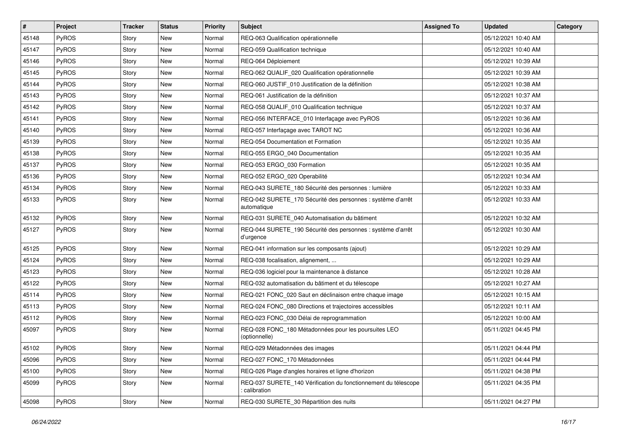| #     | Project | <b>Tracker</b> | <b>Status</b> | <b>Priority</b> | Subject                                                                       | <b>Assigned To</b> | <b>Updated</b>      | Category |
|-------|---------|----------------|---------------|-----------------|-------------------------------------------------------------------------------|--------------------|---------------------|----------|
| 45148 | PyROS   | Story          | <b>New</b>    | Normal          | REQ-063 Qualification opérationnelle                                          |                    | 05/12/2021 10:40 AM |          |
| 45147 | PyROS   | Story          | <b>New</b>    | Normal          | REQ-059 Qualification technique                                               |                    | 05/12/2021 10:40 AM |          |
| 45146 | PyROS   | Story          | New           | Normal          | REQ-064 Déploiement                                                           |                    | 05/12/2021 10:39 AM |          |
| 45145 | PyROS   | Story          | <b>New</b>    | Normal          | REQ-062 QUALIF_020 Qualification opérationnelle                               |                    | 05/12/2021 10:39 AM |          |
| 45144 | PyROS   | Story          | New           | Normal          | REQ-060 JUSTIF_010 Justification de la définition                             |                    | 05/12/2021 10:38 AM |          |
| 45143 | PyROS   | Story          | New           | Normal          | REQ-061 Justification de la définition                                        |                    | 05/12/2021 10:37 AM |          |
| 45142 | PyROS   | Story          | <b>New</b>    | Normal          | REQ-058 QUALIF_010 Qualification technique                                    |                    | 05/12/2021 10:37 AM |          |
| 45141 | PyROS   | Story          | <b>New</b>    | Normal          | REQ-056 INTERFACE_010 Interfaçage avec PyROS                                  |                    | 05/12/2021 10:36 AM |          |
| 45140 | PyROS   | Story          | New           | Normal          | REQ-057 Interfaçage avec TAROT NC                                             |                    | 05/12/2021 10:36 AM |          |
| 45139 | PyROS   | Story          | <b>New</b>    | Normal          | REQ-054 Documentation et Formation                                            |                    | 05/12/2021 10:35 AM |          |
| 45138 | PyROS   | Story          | New           | Normal          | REQ-055 ERGO_040 Documentation                                                |                    | 05/12/2021 10:35 AM |          |
| 45137 | PyROS   | Story          | <b>New</b>    | Normal          | REQ-053 ERGO_030 Formation                                                    |                    | 05/12/2021 10:35 AM |          |
| 45136 | PyROS   | Story          | New           | Normal          | REQ-052 ERGO_020 Operabilité                                                  |                    | 05/12/2021 10:34 AM |          |
| 45134 | PyROS   | Story          | <b>New</b>    | Normal          | REQ-043 SURETE_180 Sécurité des personnes : lumière                           |                    | 05/12/2021 10:33 AM |          |
| 45133 | PyROS   | Story          | New           | Normal          | REQ-042 SURETE_170 Sécurité des personnes : système d'arrêt<br>automatique    |                    | 05/12/2021 10:33 AM |          |
| 45132 | PyROS   | Story          | <b>New</b>    | Normal          | REQ-031 SURETE_040 Automatisation du bâtiment                                 |                    | 05/12/2021 10:32 AM |          |
| 45127 | PyROS   | Story          | New           | Normal          | REQ-044 SURETE_190 Sécurité des personnes : système d'arrêt<br>d'urgence      |                    | 05/12/2021 10:30 AM |          |
| 45125 | PyROS   | Story          | <b>New</b>    | Normal          | REQ-041 information sur les composants (ajout)                                |                    | 05/12/2021 10:29 AM |          |
| 45124 | PyROS   | Story          | New           | Normal          | REQ-038 focalisation, alignement,                                             |                    | 05/12/2021 10:29 AM |          |
| 45123 | PyROS   | Story          | <b>New</b>    | Normal          | REQ-036 logiciel pour la maintenance à distance                               |                    | 05/12/2021 10:28 AM |          |
| 45122 | PyROS   | Story          | <b>New</b>    | Normal          | REQ-032 automatisation du bâtiment et du télescope                            |                    | 05/12/2021 10:27 AM |          |
| 45114 | PyROS   | Story          | New           | Normal          | REQ-021 FONC_020 Saut en déclinaison entre chaque image                       |                    | 05/12/2021 10:15 AM |          |
| 45113 | PyROS   | Story          | <b>New</b>    | Normal          | REQ-024 FONC_080 Directions et trajectoires accessibles                       |                    | 05/12/2021 10:11 AM |          |
| 45112 | PyROS   | Story          | New           | Normal          | REQ-023 FONC 030 Délai de reprogrammation                                     |                    | 05/12/2021 10:00 AM |          |
| 45097 | PyROS   | Story          | <b>New</b>    | Normal          | REQ-028 FONC_180 Métadonnées pour les poursuites LEO<br>(optionnelle)         |                    | 05/11/2021 04:45 PM |          |
| 45102 | PyROS   | Story          | New           | Normal          | REQ-029 Métadonnées des images                                                |                    | 05/11/2021 04:44 PM |          |
| 45096 | PyROS   | Story          | New           | Normal          | REQ-027 FONC_170 Métadonnées                                                  |                    | 05/11/2021 04:44 PM |          |
| 45100 | PyROS   | Story          | New           | Normal          | REQ-026 Plage d'angles horaires et ligne d'horizon                            |                    | 05/11/2021 04:38 PM |          |
| 45099 | PyROS   | Story          | New           | Normal          | REQ-037 SURETE_140 Vérification du fonctionnement du télescope<br>calibration |                    | 05/11/2021 04:35 PM |          |
| 45098 | PyROS   | Story          | New           | Normal          | REQ-030 SURETE 30 Répartition des nuits                                       |                    | 05/11/2021 04:27 PM |          |